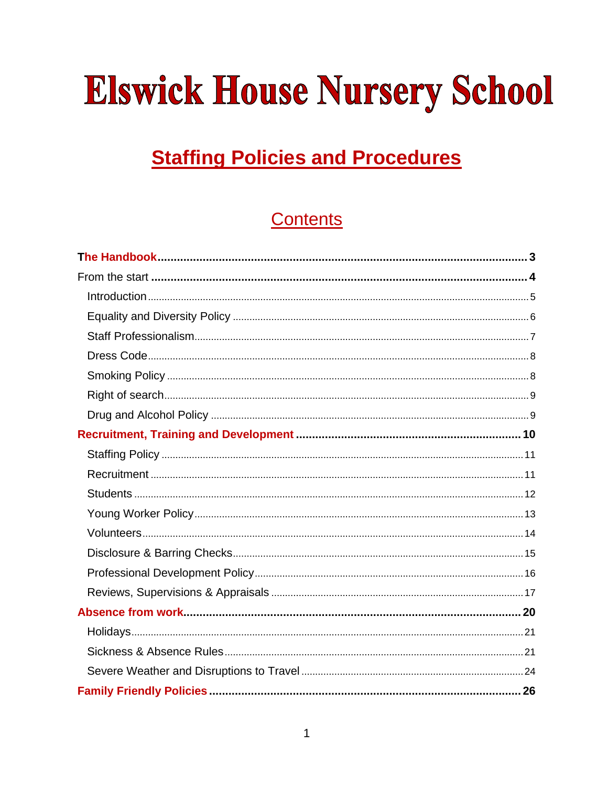# **Elswick House Nursery School**

# **Staffing Policies and Procedures**

# **Contents**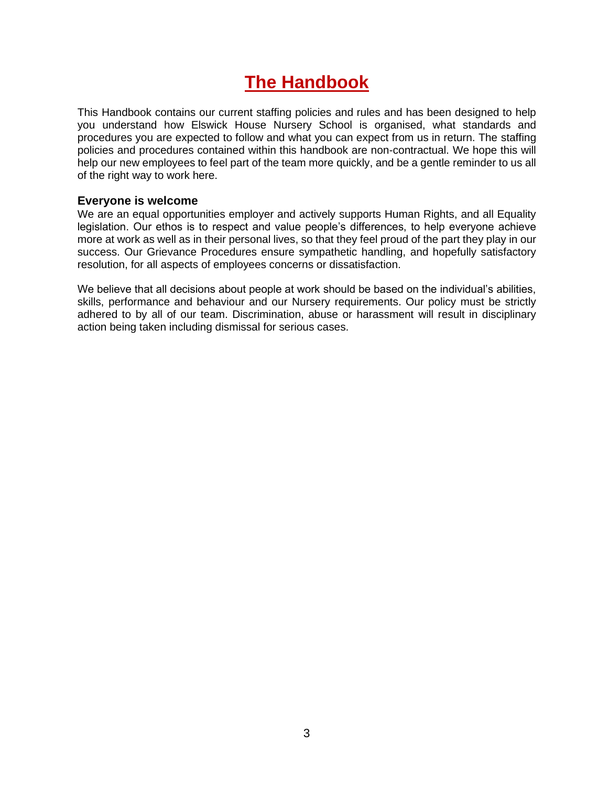## **The Handbook**

<span id="page-2-0"></span>This Handbook contains our current staffing policies and rules and has been designed to help you understand how Elswick House Nursery School is organised, what standards and procedures you are expected to follow and what you can expect from us in return. The staffing policies and procedures contained within this handbook are non-contractual. We hope this will help our new employees to feel part of the team more quickly, and be a gentle reminder to us all of the right way to work here.

#### **Everyone is welcome**

We are an equal opportunities employer and actively supports Human Rights, and all Equality legislation. Our ethos is to respect and value people's differences, to help everyone achieve more at work as well as in their personal lives, so that they feel proud of the part they play in our success. Our Grievance Procedures ensure sympathetic handling, and hopefully satisfactory resolution, for all aspects of employees concerns or dissatisfaction.

We believe that all decisions about people at work should be based on the individual's abilities, skills, performance and behaviour and our Nursery requirements. Our policy must be strictly adhered to by all of our team. Discrimination, abuse or harassment will result in disciplinary action being taken including dismissal for serious cases.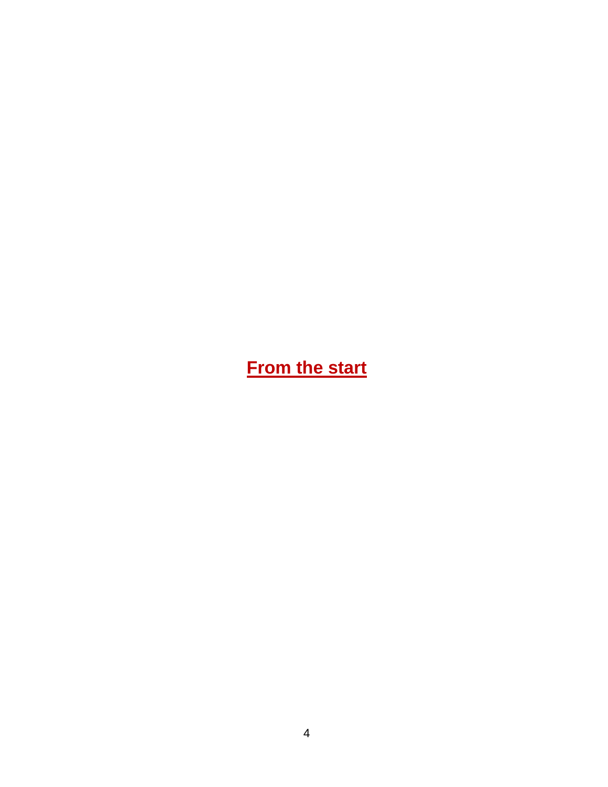<span id="page-3-0"></span>**From the start**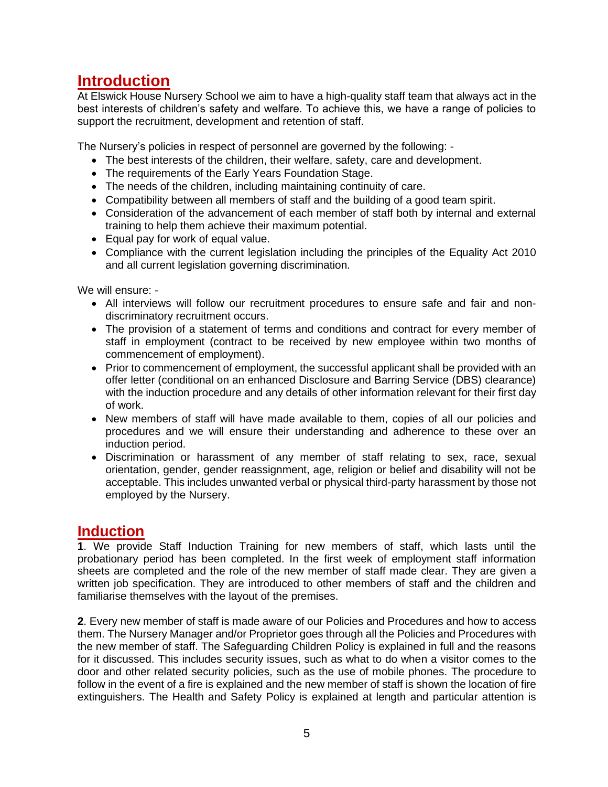### <span id="page-4-0"></span>**Introduction**

At Elswick House Nursery School we aim to have a high-quality staff team that always act in the best interests of children's safety and welfare. To achieve this, we have a range of policies to support the recruitment, development and retention of staff.

The Nursery's policies in respect of personnel are governed by the following: -

- The best interests of the children, their welfare, safety, care and development.
- The requirements of the Early Years Foundation Stage.
- The needs of the children, including maintaining continuity of care.
- Compatibility between all members of staff and the building of a good team spirit.
- Consideration of the advancement of each member of staff both by internal and external training to help them achieve their maximum potential.
- Equal pay for work of equal value.
- Compliance with the current legislation including the principles of the Equality Act 2010 and all current legislation governing discrimination.

We will ensure: -

- All interviews will follow our recruitment procedures to ensure safe and fair and nondiscriminatory recruitment occurs.
- The provision of a statement of terms and conditions and contract for every member of staff in employment (contract to be received by new employee within two months of commencement of employment).
- Prior to commencement of employment, the successful applicant shall be provided with an offer letter (conditional on an enhanced Disclosure and Barring Service (DBS) clearance) with the induction procedure and any details of other information relevant for their first day of work.
- New members of staff will have made available to them, copies of all our policies and procedures and we will ensure their understanding and adherence to these over an induction period.
- Discrimination or harassment of any member of staff relating to sex, race, sexual orientation, gender, gender reassignment, age, religion or belief and disability will not be acceptable. This includes unwanted verbal or physical third-party harassment by those not employed by the Nursery.

### **Induction**

**1**. We provide Staff Induction Training for new members of staff, which lasts until the probationary period has been completed. In the first week of employment staff information sheets are completed and the role of the new member of staff made clear. They are given a written job specification. They are introduced to other members of staff and the children and familiarise themselves with the layout of the premises.

**2**. Every new member of staff is made aware of our Policies and Procedures and how to access them. The Nursery Manager and/or Proprietor goes through all the Policies and Procedures with the new member of staff. The Safeguarding Children Policy is explained in full and the reasons for it discussed. This includes security issues, such as what to do when a visitor comes to the door and other related security policies, such as the use of mobile phones. The procedure to follow in the event of a fire is explained and the new member of staff is shown the location of fire extinguishers. The Health and Safety Policy is explained at length and particular attention is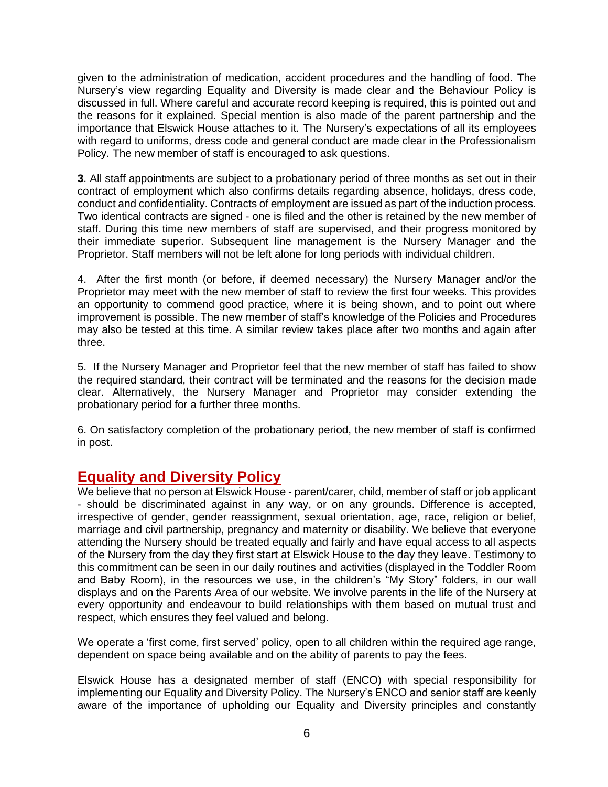given to the administration of medication, accident procedures and the handling of food. The Nursery's view regarding Equality and Diversity is made clear and the Behaviour Policy is discussed in full. Where careful and accurate record keeping is required, this is pointed out and the reasons for it explained. Special mention is also made of the parent partnership and the importance that Elswick House attaches to it. The Nursery's expectations of all its employees with regard to uniforms, dress code and general conduct are made clear in the Professionalism Policy. The new member of staff is encouraged to ask questions.

**3**. All staff appointments are subject to a probationary period of three months as set out in their contract of employment which also confirms details regarding absence, holidays, dress code, conduct and confidentiality. Contracts of employment are issued as part of the induction process. Two identical contracts are signed - one is filed and the other is retained by the new member of staff. During this time new members of staff are supervised, and their progress monitored by their immediate superior. Subsequent line management is the Nursery Manager and the Proprietor. Staff members will not be left alone for long periods with individual children.

4. After the first month (or before, if deemed necessary) the Nursery Manager and/or the Proprietor may meet with the new member of staff to review the first four weeks. This provides an opportunity to commend good practice, where it is being shown, and to point out where improvement is possible. The new member of staff's knowledge of the Policies and Procedures may also be tested at this time. A similar review takes place after two months and again after three.

5. If the Nursery Manager and Proprietor feel that the new member of staff has failed to show the required standard, their contract will be terminated and the reasons for the decision made clear. Alternatively, the Nursery Manager and Proprietor may consider extending the probationary period for a further three months.

6. On satisfactory completion of the probationary period, the new member of staff is confirmed in post.

### <span id="page-5-0"></span>**Equality and Diversity Policy**

We believe that no person at Elswick House - parent/carer, child, member of staff or job applicant - should be discriminated against in any way, or on any grounds. Difference is accepted, irrespective of gender, gender reassignment, sexual orientation, age, race, religion or belief, marriage and civil partnership, pregnancy and maternity or disability. We believe that everyone attending the Nursery should be treated equally and fairly and have equal access to all aspects of the Nursery from the day they first start at Elswick House to the day they leave. Testimony to this commitment can be seen in our daily routines and activities (displayed in the Toddler Room and Baby Room), in the resources we use, in the children's "My Story" folders, in our wall displays and on the Parents Area of our website. We involve parents in the life of the Nursery at every opportunity and endeavour to build relationships with them based on mutual trust and respect, which ensures they feel valued and belong.

We operate a 'first come, first served' policy, open to all children within the required age range, dependent on space being available and on the ability of parents to pay the fees.

Elswick House has a designated member of staff (ENCO) with special responsibility for implementing our Equality and Diversity Policy. The Nursery's ENCO and senior staff are keenly aware of the importance of upholding our Equality and Diversity principles and constantly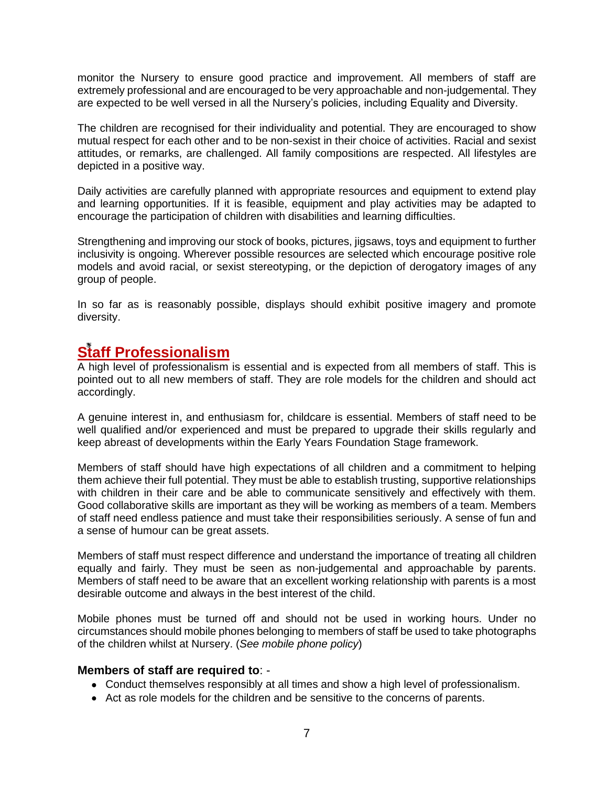monitor the Nursery to ensure good practice and improvement. All members of staff are extremely professional and are encouraged to be very approachable and non-judgemental. They are expected to be well versed in all the Nursery's policies, including Equality and Diversity.

The children are recognised for their individuality and potential. They are encouraged to show mutual respect for each other and to be non-sexist in their choice of activities. Racial and sexist attitudes, or remarks, are challenged. All family compositions are respected. All lifestyles are depicted in a positive way.

Daily activities are carefully planned with appropriate resources and equipment to extend play and learning opportunities. If it is feasible, equipment and play activities may be adapted to encourage the participation of children with disabilities and learning difficulties.

Strengthening and improving our stock of books, pictures, jigsaws, toys and equipment to further inclusivity is ongoing. Wherever possible resources are selected which encourage positive role models and avoid racial, or sexist stereotyping, or the depiction of derogatory images of any group of people.

In so far as is reasonably possible, displays should exhibit positive imagery and promote diversity.

### <span id="page-6-0"></span>**Staff Professionalism**

A high level of professionalism is essential and is expected from all members of staff. This is pointed out to all new members of staff. They are role models for the children and should act accordingly.

A genuine interest in, and enthusiasm for, childcare is essential. Members of staff need to be well qualified and/or experienced and must be prepared to upgrade their skills regularly and keep abreast of developments within the Early Years Foundation Stage framework.

Members of staff should have high expectations of all children and a commitment to helping them achieve their full potential. They must be able to establish trusting, supportive relationships with children in their care and be able to communicate sensitively and effectively with them. Good collaborative skills are important as they will be working as members of a team. Members of staff need endless patience and must take their responsibilities seriously. A sense of fun and a sense of humour can be great assets.

Members of staff must respect difference and understand the importance of treating all children equally and fairly. They must be seen as non-judgemental and approachable by parents. Members of staff need to be aware that an excellent working relationship with parents is a most desirable outcome and always in the best interest of the child.

Mobile phones must be turned off and should not be used in working hours. Under no circumstances should mobile phones belonging to members of staff be used to take photographs of the children whilst at Nursery. (*See mobile phone policy*)

### **Members of staff are required to**: -

- Conduct themselves responsibly at all times and show a high level of professionalism.
- Act as role models for the children and be sensitive to the concerns of parents.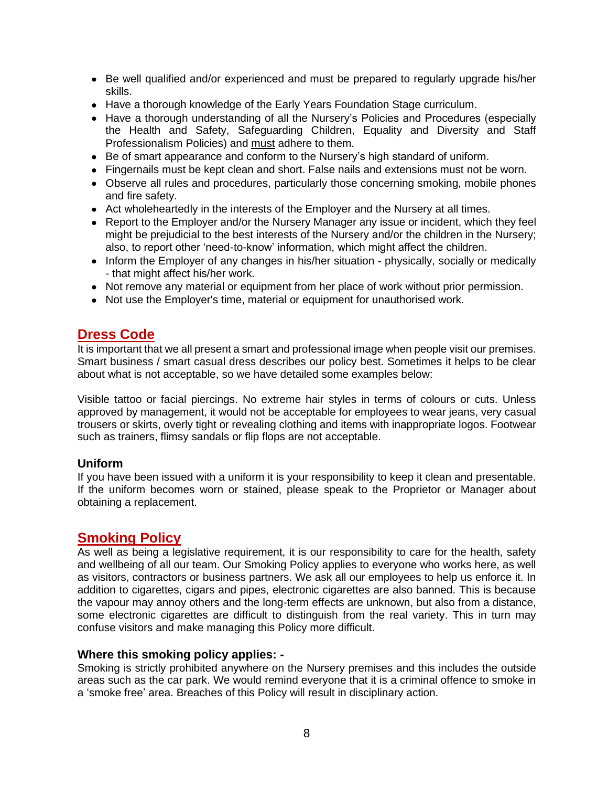- Be well qualified and/or experienced and must be prepared to regularly upgrade his/her skills.
- Have a thorough knowledge of the Early Years Foundation Stage curriculum.
- Have a thorough understanding of all the Nursery's Policies and Procedures (especially the Health and Safety, Safeguarding Children, Equality and Diversity and Staff Professionalism Policies) and must adhere to them.
- Be of smart appearance and conform to the Nursery's high standard of uniform.
- Fingernails must be kept clean and short. False nails and extensions must not be worn.
- Observe all rules and procedures, particularly those concerning smoking, mobile phones and fire safety.
- Act wholeheartedly in the interests of the Employer and the Nursery at all times.
- Report to the Employer and/or the Nursery Manager any issue or incident, which they feel might be prejudicial to the best interests of the Nursery and/or the children in the Nursery; also, to report other 'need-to-know' information, which might affect the children.
- Inform the Employer of any changes in his/her situation physically, socially or medically - that might affect his/her work.
- Not remove any material or equipment from her place of work without prior permission.
- Not use the Employer's time, material or equipment for unauthorised work.

### <span id="page-7-0"></span>**Dress Code**

It is important that we all present a smart and professional image when people visit our premises. Smart business / smart casual dress describes our policy best. Sometimes it helps to be clear about what is not acceptable, so we have detailed some examples below:

Visible tattoo or facial piercings. No extreme hair styles in terms of colours or cuts. Unless approved by management, it would not be acceptable for employees to wear jeans, very casual trousers or skirts, overly tight or revealing clothing and items with inappropriate logos. Footwear such as trainers, flimsy sandals or flip flops are not acceptable.

### **Uniform**

If you have been issued with a uniform it is your responsibility to keep it clean and presentable. If the uniform becomes worn or stained, please speak to the Proprietor or Manager about obtaining a replacement.

### <span id="page-7-1"></span>**Smoking Policy**

As well as being a legislative requirement, it is our responsibility to care for the health, safety and wellbeing of all our team. Our Smoking Policy applies to everyone who works here, as well as visitors, contractors or business partners. We ask all our employees to help us enforce it. In addition to cigarettes, cigars and pipes, electronic cigarettes are also banned. This is because the vapour may annoy others and the long-term effects are unknown, but also from a distance, some electronic cigarettes are difficult to distinguish from the real variety. This in turn may confuse visitors and make managing this Policy more difficult.

### **Where this smoking policy applies: -**

Smoking is strictly prohibited anywhere on the Nursery premises and this includes the outside areas such as the car park. We would remind everyone that it is a criminal offence to smoke in a 'smoke free' area. Breaches of this Policy will result in disciplinary action.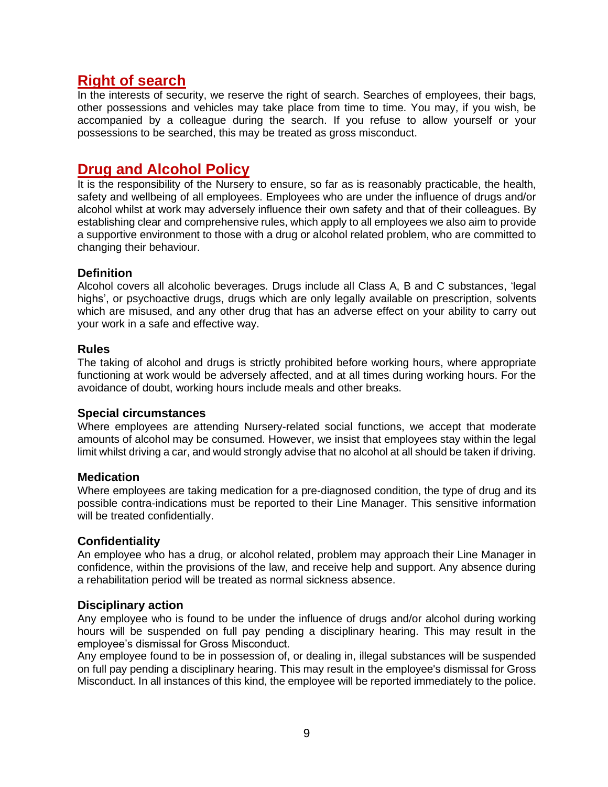### <span id="page-8-0"></span>**Right of search**

In the interests of security, we reserve the right of search. Searches of employees, their bags, other possessions and vehicles may take place from time to time. You may, if you wish, be accompanied by a colleague during the search. If you refuse to allow yourself or your possessions to be searched, this may be treated as gross misconduct.

### <span id="page-8-1"></span>**Drug and Alcohol Policy**

It is the responsibility of the Nursery to ensure, so far as is reasonably practicable, the health, safety and wellbeing of all employees. Employees who are under the influence of drugs and/or alcohol whilst at work may adversely influence their own safety and that of their colleagues. By establishing clear and comprehensive rules, which apply to all employees we also aim to provide a supportive environment to those with a drug or alcohol related problem, who are committed to changing their behaviour.

### **Definition**

Alcohol covers all alcoholic beverages. Drugs include all Class A, B and C substances, 'legal highs', or psychoactive drugs, drugs which are only legally available on prescription, solvents which are misused, and any other drug that has an adverse effect on your ability to carry out your work in a safe and effective way.

### **Rules**

The taking of alcohol and drugs is strictly prohibited before working hours, where appropriate functioning at work would be adversely affected, and at all times during working hours. For the avoidance of doubt, working hours include meals and other breaks.

### **Special circumstances**

Where employees are attending Nursery-related social functions, we accept that moderate amounts of alcohol may be consumed. However, we insist that employees stay within the legal limit whilst driving a car, and would strongly advise that no alcohol at all should be taken if driving.

### **Medication**

Where employees are taking medication for a pre-diagnosed condition, the type of drug and its possible contra-indications must be reported to their Line Manager. This sensitive information will be treated confidentially.

### **Confidentiality**

An employee who has a drug, or alcohol related, problem may approach their Line Manager in confidence, within the provisions of the law, and receive help and support. Any absence during a rehabilitation period will be treated as normal sickness absence.

### **Disciplinary action**

Any employee who is found to be under the influence of drugs and/or alcohol during working hours will be suspended on full pay pending a disciplinary hearing. This may result in the employee's dismissal for Gross Misconduct.

Any employee found to be in possession of, or dealing in, illegal substances will be suspended on full pay pending a disciplinary hearing. This may result in the employee's dismissal for Gross Misconduct. In all instances of this kind, the employee will be reported immediately to the police.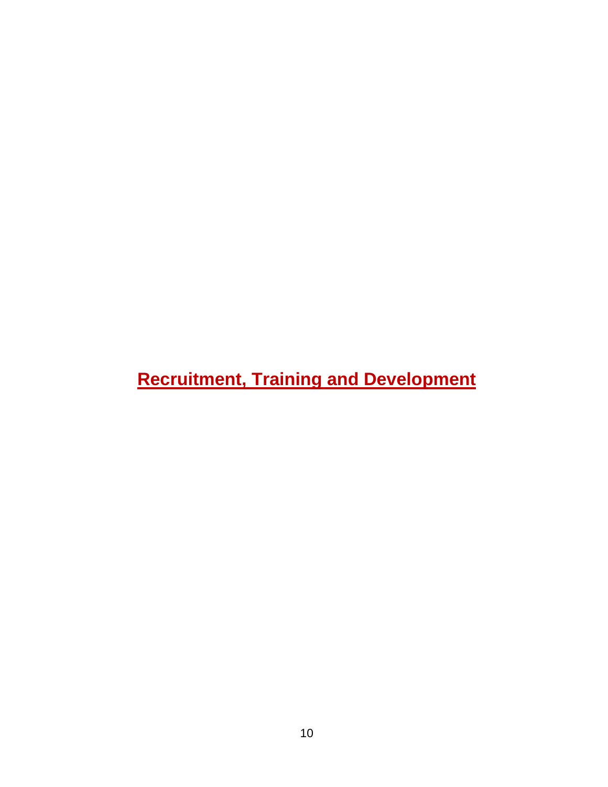# <span id="page-9-0"></span>**Recruitment, Training and Development**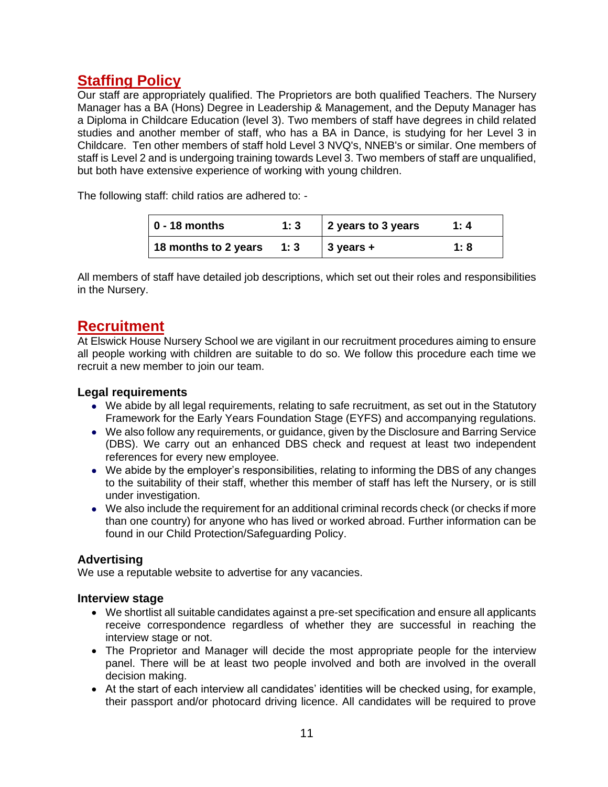### <span id="page-10-0"></span>**Staffing Policy**

Our staff are appropriately qualified. The Proprietors are both qualified Teachers. The Nursery Manager has a BA (Hons) Degree in Leadership & Management, and the Deputy Manager has a Diploma in Childcare Education (level 3). Two members of staff have degrees in child related studies and another member of staff, who has a BA in Dance, is studying for her Level 3 in Childcare. Ten other members of staff hold Level 3 NVQ's, NNEB's or similar. One members of staff is Level 2 and is undergoing training towards Level 3. Two members of staff are unqualified, but both have extensive experience of working with young children.

The following staff: child ratios are adhered to: -

| $0 - 18$ months      | 1:3 | 2 years to 3 years    | 1:4  |
|----------------------|-----|-----------------------|------|
| 18 months to 2 years | 1:3 | $\frac{1}{3}$ years + | 1: 8 |

All members of staff have detailed job descriptions, which set out their roles and responsibilities in the Nursery.

### <span id="page-10-1"></span>**Recruitment**

At Elswick House Nursery School we are vigilant in our recruitment procedures aiming to ensure all people working with children are suitable to do so. We follow this procedure each time we recruit a new member to join our team.

### **Legal requirements**

- We abide by all legal requirements, relating to safe recruitment, as set out in the Statutory Framework for the Early Years Foundation Stage (EYFS) and accompanying regulations.
- We also follow any requirements, or guidance, given by the Disclosure and Barring Service (DBS). We carry out an enhanced DBS check and request at least two independent references for every new employee.
- We abide by the employer's responsibilities, relating to informing the DBS of any changes to the suitability of their staff, whether this member of staff has left the Nursery, or is still under investigation.
- We also include the requirement for an additional criminal records check (or checks if more than one country) for anyone who has lived or worked abroad. Further information can be found in our Child Protection/Safeguarding Policy.

### **Advertising**

We use a reputable website to advertise for any vacancies.

### **Interview stage**

- We shortlist all suitable candidates against a pre-set specification and ensure all applicants receive correspondence regardless of whether they are successful in reaching the interview stage or not.
- The Proprietor and Manager will decide the most appropriate people for the interview panel. There will be at least two people involved and both are involved in the overall decision making.
- At the start of each interview all candidates' identities will be checked using, for example, their passport and/or photocard driving licence. All candidates will be required to prove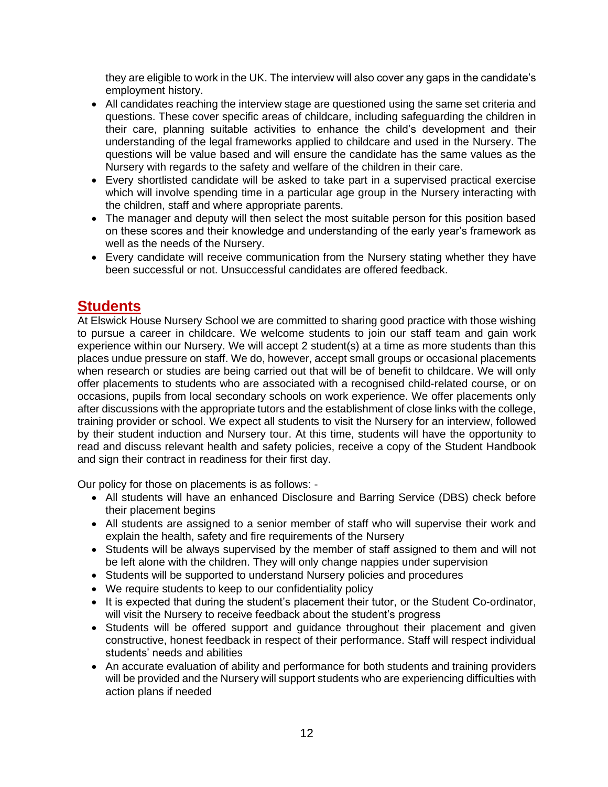they are eligible to work in the UK. The interview will also cover any gaps in the candidate's employment history.

- All candidates reaching the interview stage are questioned using the same set criteria and questions. These cover specific areas of childcare, including safeguarding the children in their care, planning suitable activities to enhance the child's development and their understanding of the legal frameworks applied to childcare and used in the Nursery. The questions will be value based and will ensure the candidate has the same values as the Nursery with regards to the safety and welfare of the children in their care.
- Every shortlisted candidate will be asked to take part in a supervised practical exercise which will involve spending time in a particular age group in the Nursery interacting with the children, staff and where appropriate parents.
- The manager and deputy will then select the most suitable person for this position based on these scores and their knowledge and understanding of the early year's framework as well as the needs of the Nursery.
- Every candidate will receive communication from the Nursery stating whether they have been successful or not. Unsuccessful candidates are offered feedback.

### <span id="page-11-0"></span>**Students**

At Elswick House Nursery School we are committed to sharing good practice with those wishing to pursue a career in childcare. We welcome students to join our staff team and gain work experience within our Nursery. We will accept 2 student(s) at a time as more students than this places undue pressure on staff. We do, however, accept small groups or occasional placements when research or studies are being carried out that will be of benefit to childcare. We will only offer placements to students who are associated with a recognised child-related course, or on occasions, pupils from local secondary schools on work experience. We offer placements only after discussions with the appropriate tutors and the establishment of close links with the college, training provider or school. We expect all students to visit the Nursery for an interview, followed by their student induction and Nursery tour. At this time, students will have the opportunity to read and discuss relevant health and safety policies, receive a copy of the Student Handbook and sign their contract in readiness for their first day.

Our policy for those on placements is as follows: -

- All students will have an enhanced Disclosure and Barring Service (DBS) check before their placement begins
- All students are assigned to a senior member of staff who will supervise their work and explain the health, safety and fire requirements of the Nursery
- Students will be always supervised by the member of staff assigned to them and will not be left alone with the children. They will only change nappies under supervision
- Students will be supported to understand Nursery policies and procedures
- We require students to keep to our confidentiality policy
- It is expected that during the student's placement their tutor, or the Student Co-ordinator, will visit the Nursery to receive feedback about the student's progress
- Students will be offered support and guidance throughout their placement and given constructive, honest feedback in respect of their performance. Staff will respect individual students' needs and abilities
- An accurate evaluation of ability and performance for both students and training providers will be provided and the Nursery will support students who are experiencing difficulties with action plans if needed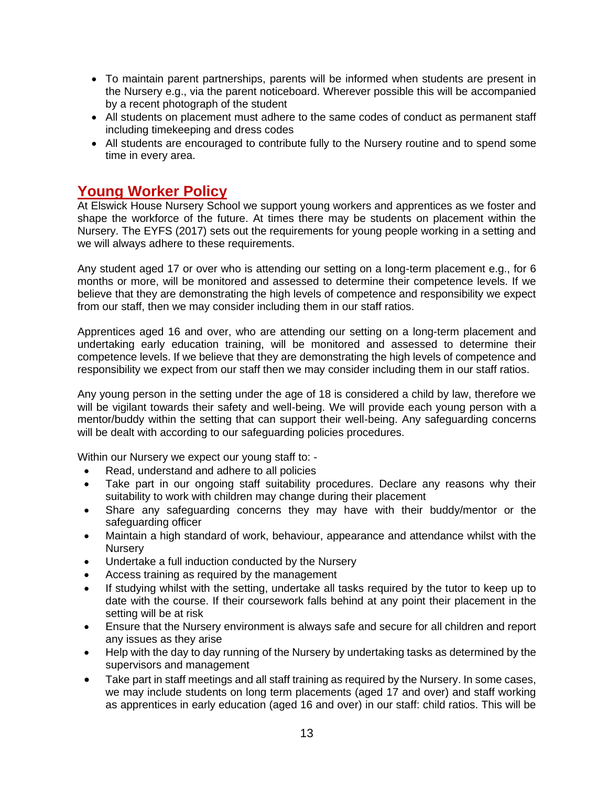- To maintain parent partnerships, parents will be informed when students are present in the Nursery e.g., via the parent noticeboard. Wherever possible this will be accompanied by a recent photograph of the student
- All students on placement must adhere to the same codes of conduct as permanent staff including timekeeping and dress codes
- All students are encouraged to contribute fully to the Nursery routine and to spend some time in every area.

### <span id="page-12-0"></span>**Young Worker Policy**

At Elswick House Nursery School we support young workers and apprentices as we foster and shape the workforce of the future. At times there may be students on placement within the Nursery. The EYFS (2017) sets out the requirements for young people working in a setting and we will always adhere to these requirements.

Any student aged 17 or over who is attending our setting on a long-term placement e.g., for 6 months or more, will be monitored and assessed to determine their competence levels. If we believe that they are demonstrating the high levels of competence and responsibility we expect from our staff, then we may consider including them in our staff ratios.

Apprentices aged 16 and over, who are attending our setting on a long-term placement and undertaking early education training, will be monitored and assessed to determine their competence levels. If we believe that they are demonstrating the high levels of competence and responsibility we expect from our staff then we may consider including them in our staff ratios.

Any young person in the setting under the age of 18 is considered a child by law, therefore we will be vigilant towards their safety and well-being. We will provide each young person with a mentor/buddy within the setting that can support their well-being. Any safeguarding concerns will be dealt with according to our safeguarding policies procedures.

Within our Nursery we expect our young staff to: -

- Read, understand and adhere to all policies
- Take part in our ongoing staff suitability procedures. Declare any reasons why their suitability to work with children may change during their placement
- Share any safeguarding concerns they may have with their buddy/mentor or the safeguarding officer
- Maintain a high standard of work, behaviour, appearance and attendance whilst with the **Nurserv**
- Undertake a full induction conducted by the Nursery
- Access training as required by the management
- If studying whilst with the setting, undertake all tasks required by the tutor to keep up to date with the course. If their coursework falls behind at any point their placement in the setting will be at risk
- Ensure that the Nursery environment is always safe and secure for all children and report any issues as they arise
- Help with the day to day running of the Nursery by undertaking tasks as determined by the supervisors and management
- Take part in staff meetings and all staff training as required by the Nursery. In some cases, we may include students on long term placements (aged 17 and over) and staff working as apprentices in early education (aged 16 and over) in our staff: child ratios. This will be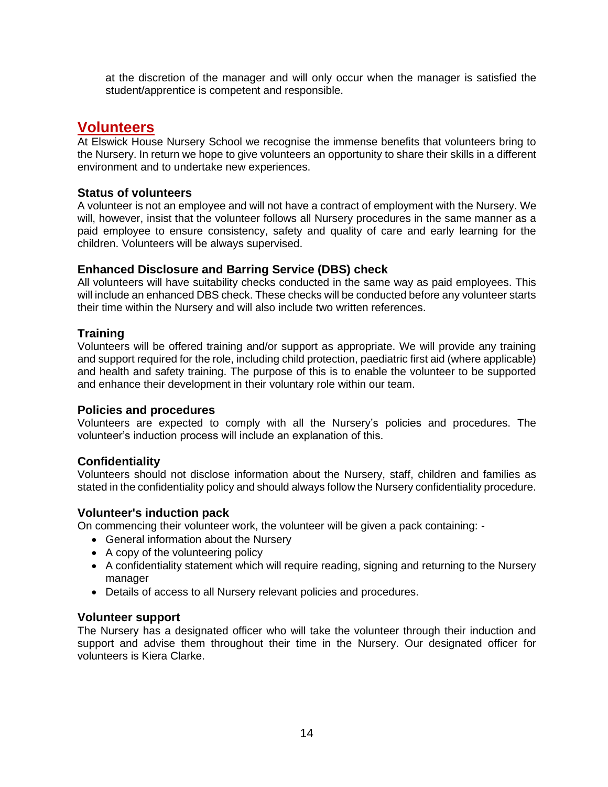at the discretion of the manager and will only occur when the manager is satisfied the student/apprentice is competent and responsible.

### <span id="page-13-0"></span>**Volunteers**

At Elswick House Nursery School we recognise the immense benefits that volunteers bring to the Nursery. In return we hope to give volunteers an opportunity to share their skills in a different environment and to undertake new experiences.

### **Status of volunteers**

A volunteer is not an employee and will not have a contract of employment with the Nursery. We will, however, insist that the volunteer follows all Nursery procedures in the same manner as a paid employee to ensure consistency, safety and quality of care and early learning for the children. Volunteers will be always supervised.

### **Enhanced Disclosure and Barring Service (DBS) check**

All volunteers will have suitability checks conducted in the same way as paid employees. This will include an enhanced DBS check. These checks will be conducted before any volunteer starts their time within the Nursery and will also include two written references.

### **Training**

Volunteers will be offered training and/or support as appropriate. We will provide any training and support required for the role, including child protection, paediatric first aid (where applicable) and health and safety training. The purpose of this is to enable the volunteer to be supported and enhance their development in their voluntary role within our team.

### **Policies and procedures**

Volunteers are expected to comply with all the Nursery's policies and procedures. The volunteer's induction process will include an explanation of this.

### **Confidentiality**

Volunteers should not disclose information about the Nursery, staff, children and families as stated in the confidentiality policy and should always follow the Nursery confidentiality procedure.

### **Volunteer's induction pack**

On commencing their volunteer work, the volunteer will be given a pack containing: -

- General information about the Nursery
- A copy of the volunteering policy
- A confidentiality statement which will require reading, signing and returning to the Nursery manager
- Details of access to all Nursery relevant policies and procedures.

### **Volunteer support**

The Nursery has a designated officer who will take the volunteer through their induction and support and advise them throughout their time in the Nursery. Our designated officer for volunteers is Kiera Clarke.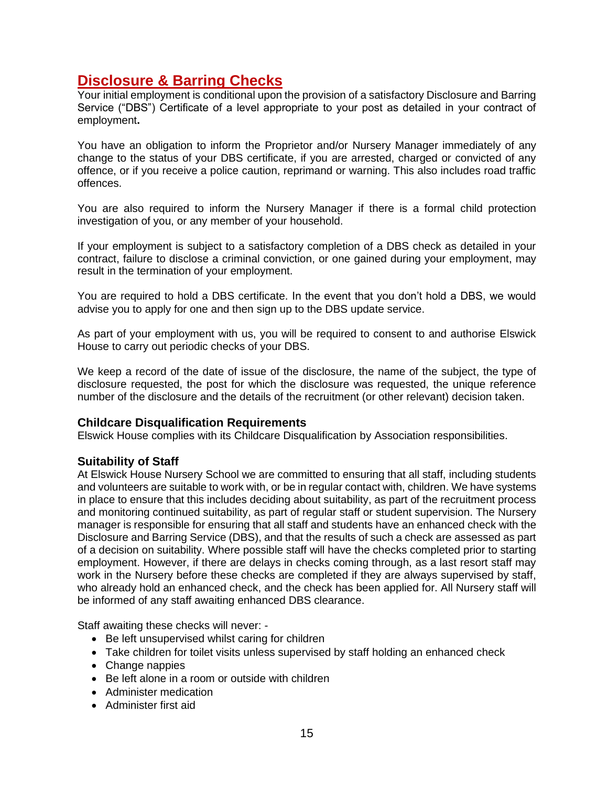### <span id="page-14-0"></span>**Disclosure & Barring Checks**

Your initial employment is conditional upon the provision of a satisfactory Disclosure and Barring Service ("DBS") Certificate of a level appropriate to your post as detailed in your contract of employment**.** 

You have an obligation to inform the Proprietor and/or Nursery Manager immediately of any change to the status of your DBS certificate, if you are arrested, charged or convicted of any offence, or if you receive a police caution, reprimand or warning. This also includes road traffic offences.

You are also required to inform the Nursery Manager if there is a formal child protection investigation of you, or any member of your household.

If your employment is subject to a satisfactory completion of a DBS check as detailed in your contract, failure to disclose a criminal conviction, or one gained during your employment, may result in the termination of your employment.

You are required to hold a DBS certificate. In the event that you don't hold a DBS, we would advise you to apply for one and then sign up to the DBS update service.

As part of your employment with us, you will be required to consent to and authorise Elswick House to carry out periodic checks of your DBS.

We keep a record of the date of issue of the disclosure, the name of the subject, the type of disclosure requested, the post for which the disclosure was requested, the unique reference number of the disclosure and the details of the recruitment (or other relevant) decision taken.

### **Childcare Disqualification Requirements**

Elswick House complies with its Childcare Disqualification by Association responsibilities.

### **Suitability of Staff**

At Elswick House Nursery School we are committed to ensuring that all staff, including students and volunteers are suitable to work with, or be in regular contact with, children. We have systems in place to ensure that this includes deciding about suitability, as part of the recruitment process and monitoring continued suitability, as part of regular staff or student supervision. The Nursery manager is responsible for ensuring that all staff and students have an enhanced check with the Disclosure and Barring Service (DBS), and that the results of such a check are assessed as part of a decision on suitability. Where possible staff will have the checks completed prior to starting employment. However, if there are delays in checks coming through, as a last resort staff may work in the Nursery before these checks are completed if they are always supervised by staff, who already hold an enhanced check, and the check has been applied for. All Nursery staff will be informed of any staff awaiting enhanced DBS clearance.

Staff awaiting these checks will never: -

- Be left unsupervised whilst caring for children
- Take children for toilet visits unless supervised by staff holding an enhanced check
- Change nappies
- Be left alone in a room or outside with children
- Administer medication
- Administer first aid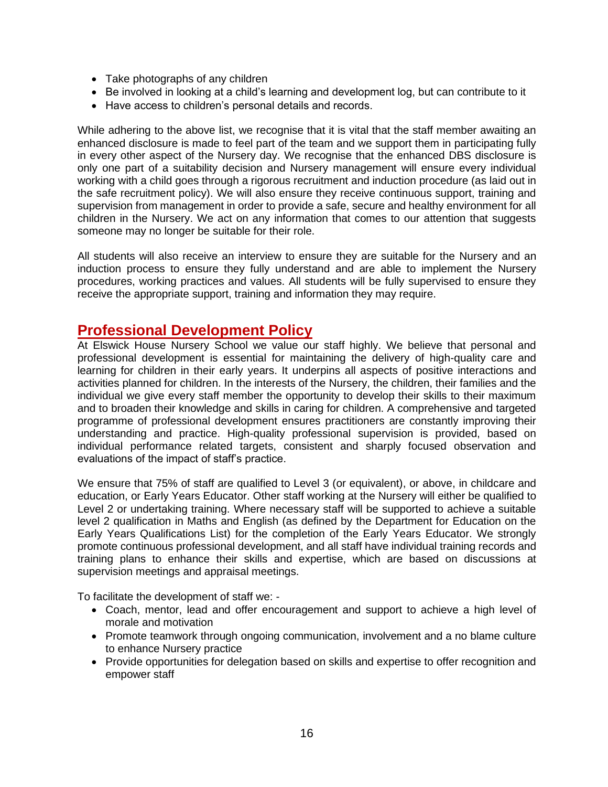- Take photographs of any children
- Be involved in looking at a child's learning and development log, but can contribute to it
- Have access to children's personal details and records.

While adhering to the above list, we recognise that it is vital that the staff member awaiting an enhanced disclosure is made to feel part of the team and we support them in participating fully in every other aspect of the Nursery day. We recognise that the enhanced DBS disclosure is only one part of a suitability decision and Nursery management will ensure every individual working with a child goes through a rigorous recruitment and induction procedure (as laid out in the safe recruitment policy). We will also ensure they receive continuous support, training and supervision from management in order to provide a safe, secure and healthy environment for all children in the Nursery. We act on any information that comes to our attention that suggests someone may no longer be suitable for their role.

All students will also receive an interview to ensure they are suitable for the Nursery and an induction process to ensure they fully understand and are able to implement the Nursery procedures, working practices and values. All students will be fully supervised to ensure they receive the appropriate support, training and information they may require.

### <span id="page-15-0"></span>**Professional Development Policy**

At Elswick House Nursery School we value our staff highly. We believe that personal and professional development is essential for maintaining the delivery of high-quality care and learning for children in their early years. It underpins all aspects of positive interactions and activities planned for children. In the interests of the Nursery, the children, their families and the individual we give every staff member the opportunity to develop their skills to their maximum and to broaden their knowledge and skills in caring for children. A comprehensive and targeted programme of professional development ensures practitioners are constantly improving their understanding and practice. High-quality professional supervision is provided, based on individual performance related targets, consistent and sharply focused observation and evaluations of the impact of staff's practice.

We ensure that 75% of staff are qualified to Level 3 (or equivalent), or above, in childcare and education, or Early Years Educator. Other staff working at the Nursery will either be qualified to Level 2 or undertaking training. Where necessary staff will be supported to achieve a suitable level 2 qualification in Maths and English (as defined by the Department for Education on the Early Years Qualifications List) for the completion of the Early Years Educator. We strongly promote continuous professional development, and all staff have individual training records and training plans to enhance their skills and expertise, which are based on discussions at supervision meetings and appraisal meetings.

To facilitate the development of staff we: -

- Coach, mentor, lead and offer encouragement and support to achieve a high level of morale and motivation
- Promote teamwork through ongoing communication, involvement and a no blame culture to enhance Nursery practice
- Provide opportunities for delegation based on skills and expertise to offer recognition and empower staff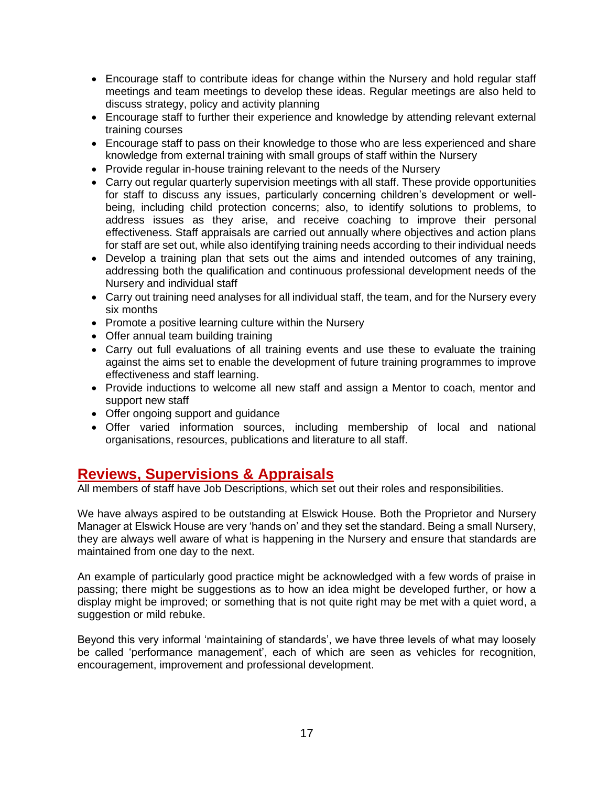- Encourage staff to contribute ideas for change within the Nursery and hold regular staff meetings and team meetings to develop these ideas. Regular meetings are also held to discuss strategy, policy and activity planning
- Encourage staff to further their experience and knowledge by attending relevant external training courses
- Encourage staff to pass on their knowledge to those who are less experienced and share knowledge from external training with small groups of staff within the Nursery
- Provide regular in-house training relevant to the needs of the Nursery
- Carry out regular quarterly supervision meetings with all staff. These provide opportunities for staff to discuss any issues, particularly concerning children's development or wellbeing, including child protection concerns; also, to identify solutions to problems, to address issues as they arise, and receive coaching to improve their personal effectiveness. Staff appraisals are carried out annually where objectives and action plans for staff are set out, while also identifying training needs according to their individual needs
- Develop a training plan that sets out the aims and intended outcomes of any training. addressing both the qualification and continuous professional development needs of the Nursery and individual staff
- Carry out training need analyses for all individual staff, the team, and for the Nursery every six months
- Promote a positive learning culture within the Nursery
- Offer annual team building training
- Carry out full evaluations of all training events and use these to evaluate the training against the aims set to enable the development of future training programmes to improve effectiveness and staff learning.
- Provide inductions to welcome all new staff and assign a Mentor to coach, mentor and support new staff
- Offer ongoing support and guidance
- Offer varied information sources, including membership of local and national organisations, resources, publications and literature to all staff.

### <span id="page-16-0"></span>**Reviews, Supervisions & Appraisals**

All members of staff have Job Descriptions, which set out their roles and responsibilities.

We have always aspired to be outstanding at Elswick House. Both the Proprietor and Nursery Manager at Elswick House are very 'hands on' and they set the standard. Being a small Nursery, they are always well aware of what is happening in the Nursery and ensure that standards are maintained from one day to the next.

An example of particularly good practice might be acknowledged with a few words of praise in passing; there might be suggestions as to how an idea might be developed further, or how a display might be improved; or something that is not quite right may be met with a quiet word, a suggestion or mild rebuke.

Beyond this very informal 'maintaining of standards', we have three levels of what may loosely be called 'performance management', each of which are seen as vehicles for recognition, encouragement, improvement and professional development.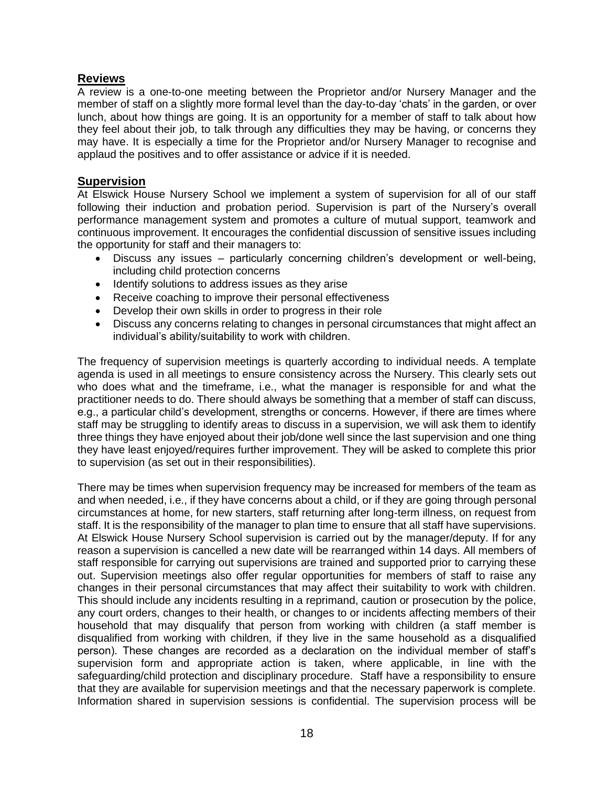### **Reviews**

A review is a one-to-one meeting between the Proprietor and/or Nursery Manager and the member of staff on a slightly more formal level than the day-to-day 'chats' in the garden, or over lunch, about how things are going. It is an opportunity for a member of staff to talk about how they feel about their job, to talk through any difficulties they may be having, or concerns they may have. It is especially a time for the Proprietor and/or Nursery Manager to recognise and applaud the positives and to offer assistance or advice if it is needed.

### **Supervision**

At Elswick House Nursery School we implement a system of supervision for all of our staff following their induction and probation period. Supervision is part of the Nursery's overall performance management system and promotes a culture of mutual support, teamwork and continuous improvement. It encourages the confidential discussion of sensitive issues including the opportunity for staff and their managers to:

- Discuss any issues particularly concerning children's development or well-being, including child protection concerns
- Identify solutions to address issues as they arise
- Receive coaching to improve their personal effectiveness
- Develop their own skills in order to progress in their role
- Discuss any concerns relating to changes in personal circumstances that might affect an individual's ability/suitability to work with children.

The frequency of supervision meetings is quarterly according to individual needs. A template agenda is used in all meetings to ensure consistency across the Nursery. This clearly sets out who does what and the timeframe, i.e., what the manager is responsible for and what the practitioner needs to do. There should always be something that a member of staff can discuss, e.g., a particular child's development, strengths or concerns. However, if there are times where staff may be struggling to identify areas to discuss in a supervision, we will ask them to identify three things they have enjoyed about their job/done well since the last supervision and one thing they have least enjoyed/requires further improvement. They will be asked to complete this prior to supervision (as set out in their responsibilities).

There may be times when supervision frequency may be increased for members of the team as and when needed, i.e., if they have concerns about a child, or if they are going through personal circumstances at home, for new starters, staff returning after long-term illness, on request from staff. It is the responsibility of the manager to plan time to ensure that all staff have supervisions. At Elswick House Nursery School supervision is carried out by the manager/deputy. If for any reason a supervision is cancelled a new date will be rearranged within 14 days. All members of staff responsible for carrying out supervisions are trained and supported prior to carrying these out. Supervision meetings also offer regular opportunities for members of staff to raise any changes in their personal circumstances that may affect their suitability to work with children. This should include any incidents resulting in a reprimand, caution or prosecution by the police, any court orders, changes to their health, or changes to or incidents affecting members of their household that may disqualify that person from working with children (a staff member is disqualified from working with children, if they live in the same household as a disqualified person). These changes are recorded as a declaration on the individual member of staff's supervision form and appropriate action is taken, where applicable, in line with the safeguarding/child protection and disciplinary procedure. Staff have a responsibility to ensure that they are available for supervision meetings and that the necessary paperwork is complete. Information shared in supervision sessions is confidential. The supervision process will be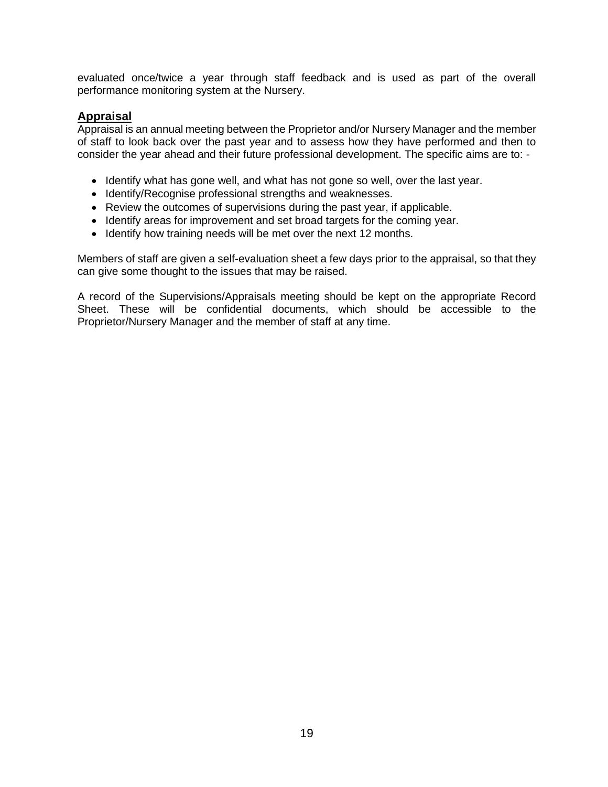evaluated once/twice a year through staff feedback and is used as part of the overall performance monitoring system at the Nursery.

### **Appraisal**

Appraisal is an annual meeting between the Proprietor and/or Nursery Manager and the member of staff to look back over the past year and to assess how they have performed and then to consider the year ahead and their future professional development. The specific aims are to: -

- Identify what has gone well, and what has not gone so well, over the last year.
- Identify/Recognise professional strengths and weaknesses.
- Review the outcomes of supervisions during the past year, if applicable.
- Identify areas for improvement and set broad targets for the coming year.
- Identify how training needs will be met over the next 12 months.

Members of staff are given a self-evaluation sheet a few days prior to the appraisal, so that they can give some thought to the issues that may be raised.

A record of the Supervisions/Appraisals meeting should be kept on the appropriate Record Sheet. These will be confidential documents, which should be accessible to the Proprietor/Nursery Manager and the member of staff at any time.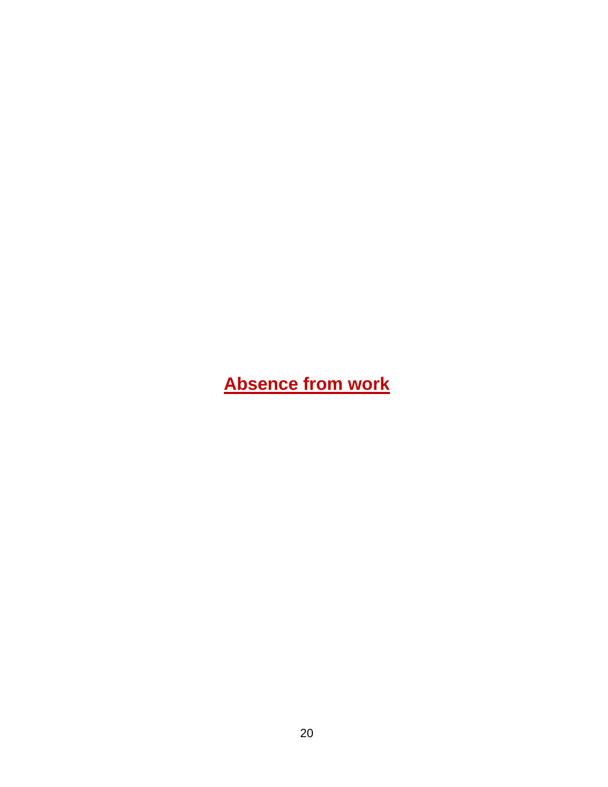# <span id="page-19-0"></span>**Absence from work**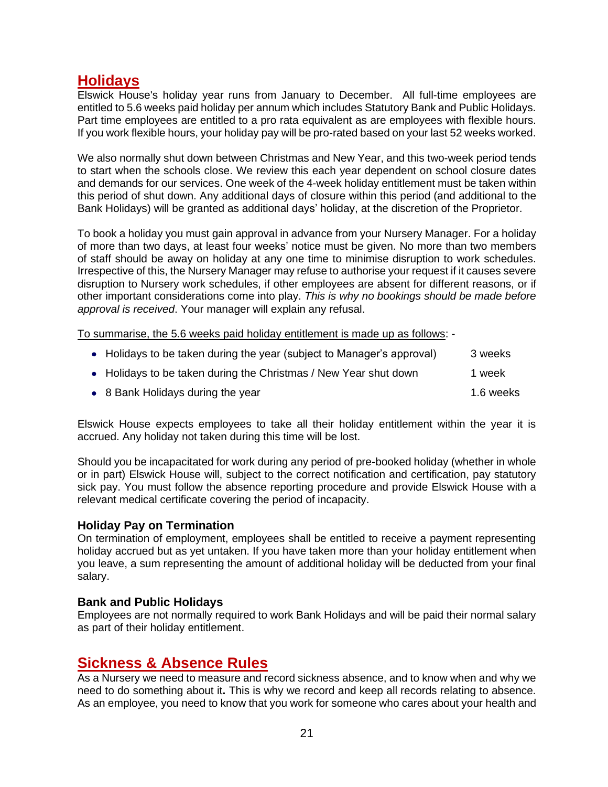### <span id="page-20-0"></span>**Holidays**

Elswick House's holiday year runs from January to December. All full-time employees are entitled to 5.6 weeks paid holiday per annum which includes Statutory Bank and Public Holidays. Part time employees are entitled to a pro rata equivalent as are employees with flexible hours. If you work flexible hours, your holiday pay will be pro-rated based on your last 52 weeks worked.

We also normally shut down between Christmas and New Year, and this two-week period tends to start when the schools close. We review this each year dependent on school closure dates and demands for our services. One week of the 4-week holiday entitlement must be taken within this period of shut down. Any additional days of closure within this period (and additional to the Bank Holidays) will be granted as additional days' holiday, at the discretion of the Proprietor.

To book a holiday you must gain approval in advance from your Nursery Manager. For a holiday of more than two days, at least four weeks' notice must be given. No more than two members of staff should be away on holiday at any one time to minimise disruption to work schedules. Irrespective of this, the Nursery Manager may refuse to authorise your request if it causes severe disruption to Nursery work schedules, if other employees are absent for different reasons, or if other important considerations come into play. *This is why no bookings should be made before approval is received*. Your manager will explain any refusal.

To summarise, the 5.6 weeks paid holiday entitlement is made up as follows: -

| • Holidays to be taken during the year (subject to Manager's approval) | 3 weeks   |
|------------------------------------------------------------------------|-----------|
| • Holidays to be taken during the Christmas / New Year shut down       | 1 week    |
| • 8 Bank Holidays during the year                                      | 1.6 weeks |

Elswick House expects employees to take all their holiday entitlement within the year it is accrued. Any holiday not taken during this time will be lost.

Should you be incapacitated for work during any period of pre-booked holiday (whether in whole or in part) Elswick House will, subject to the correct notification and certification, pay statutory sick pay. You must follow the absence reporting procedure and provide Elswick House with a relevant medical certificate covering the period of incapacity.

### **Holiday Pay on Termination**

On termination of employment, employees shall be entitled to receive a payment representing holiday accrued but as yet untaken. If you have taken more than your holiday entitlement when you leave, a sum representing the amount of additional holiday will be deducted from your final salary.

### **Bank and Public Holidays**

Employees are not normally required to work Bank Holidays and will be paid their normal salary as part of their holiday entitlement.

### <span id="page-20-1"></span>**Sickness & Absence Rules**

As a Nursery we need to measure and record sickness absence, and to know when and why we need to do something about it**.** This is why we record and keep all records relating to absence. As an employee, you need to know that you work for someone who cares about your health and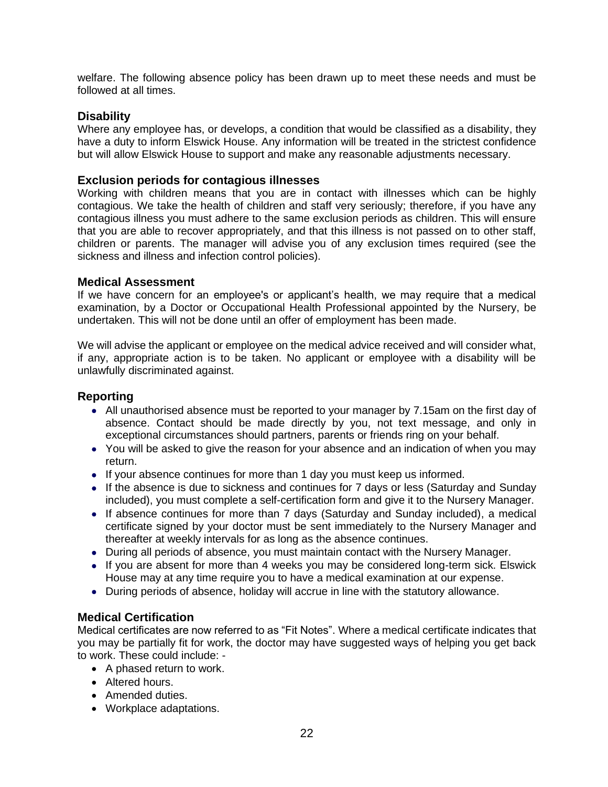welfare. The following absence policy has been drawn up to meet these needs and must be followed at all times.

### **Disability**

Where any employee has, or develops, a condition that would be classified as a disability, they have a duty to inform Elswick House. Any information will be treated in the strictest confidence but will allow Elswick House to support and make any reasonable adjustments necessary.

### **Exclusion periods for contagious illnesses**

Working with children means that you are in contact with illnesses which can be highly contagious. We take the health of children and staff very seriously; therefore, if you have any contagious illness you must adhere to the same exclusion periods as children. This will ensure that you are able to recover appropriately, and that this illness is not passed on to other staff, children or parents. The manager will advise you of any exclusion times required (see the sickness and illness and infection control policies).

### **Medical Assessment**

If we have concern for an employee's or applicant's health, we may require that a medical examination, by a Doctor or Occupational Health Professional appointed by the Nursery, be undertaken. This will not be done until an offer of employment has been made.

We will advise the applicant or employee on the medical advice received and will consider what, if any, appropriate action is to be taken. No applicant or employee with a disability will be unlawfully discriminated against.

### **Reporting**

- All unauthorised absence must be reported to your manager by 7.15am on the first day of absence. Contact should be made directly by you, not text message, and only in exceptional circumstances should partners, parents or friends ring on your behalf.
- You will be asked to give the reason for your absence and an indication of when you may return.
- If your absence continues for more than 1 day you must keep us informed.
- If the absence is due to sickness and continues for 7 days or less (Saturday and Sunday included), you must complete a self-certification form and give it to the Nursery Manager.
- If absence continues for more than 7 days (Saturday and Sunday included), a medical certificate signed by your doctor must be sent immediately to the Nursery Manager and thereafter at weekly intervals for as long as the absence continues.
- During all periods of absence, you must maintain contact with the Nursery Manager.
- If you are absent for more than 4 weeks you may be considered long-term sick. Elswick House may at any time require you to have a medical examination at our expense.
- During periods of absence, holiday will accrue in line with the statutory allowance.

### **Medical Certification**

Medical certificates are now referred to as "Fit Notes". Where a medical certificate indicates that you may be partially fit for work, the doctor may have suggested ways of helping you get back to work. These could include: -

- A phased return to work.
- Altered hours.
- Amended duties.
- Workplace adaptations.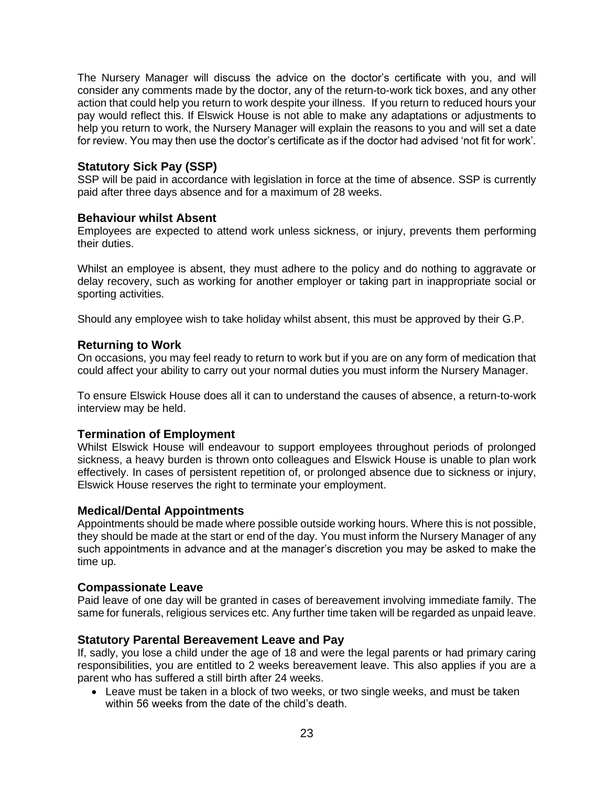The Nursery Manager will discuss the advice on the doctor's certificate with you, and will consider any comments made by the doctor, any of the return-to-work tick boxes, and any other action that could help you return to work despite your illness. If you return to reduced hours your pay would reflect this. If Elswick House is not able to make any adaptations or adjustments to help you return to work, the Nursery Manager will explain the reasons to you and will set a date for review. You may then use the doctor's certificate as if the doctor had advised 'not fit for work'.

### **Statutory Sick Pay (SSP)**

SSP will be paid in accordance with legislation in force at the time of absence. SSP is currently paid after three days absence and for a maximum of 28 weeks.

#### **Behaviour whilst Absent**

Employees are expected to attend work unless sickness, or injury, prevents them performing their duties.

Whilst an employee is absent, they must adhere to the policy and do nothing to aggravate or delay recovery, such as working for another employer or taking part in inappropriate social or sporting activities.

Should any employee wish to take holiday whilst absent, this must be approved by their G.P.

### **Returning to Work**

On occasions, you may feel ready to return to work but if you are on any form of medication that could affect your ability to carry out your normal duties you must inform the Nursery Manager.

To ensure Elswick House does all it can to understand the causes of absence, a return-to-work interview may be held.

### **Termination of Employment**

Whilst Elswick House will endeavour to support employees throughout periods of prolonged sickness, a heavy burden is thrown onto colleagues and Elswick House is unable to plan work effectively. In cases of persistent repetition of, or prolonged absence due to sickness or injury, Elswick House reserves the right to terminate your employment.

### **Medical/Dental Appointments**

Appointments should be made where possible outside working hours. Where this is not possible, they should be made at the start or end of the day. You must inform the Nursery Manager of any such appointments in advance and at the manager's discretion you may be asked to make the time up.

### **Compassionate Leave**

Paid leave of one day will be granted in cases of bereavement involving immediate family. The same for funerals, religious services etc. Any further time taken will be regarded as unpaid leave.

### **Statutory Parental Bereavement Leave and Pay**

If, sadly, you lose a child under the age of 18 and were the legal parents or had primary caring responsibilities, you are entitled to 2 weeks bereavement leave. This also applies if you are a parent who has suffered a still birth after 24 weeks.

• Leave must be taken in a block of two weeks, or two single weeks, and must be taken within 56 weeks from the date of the child's death.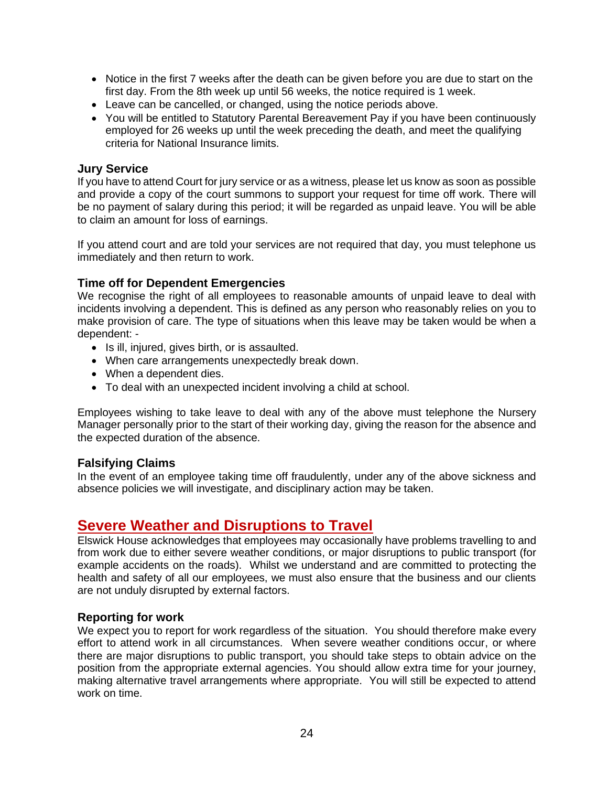- Notice in the first 7 weeks after the death can be given before you are due to start on the first day. From the 8th week up until 56 weeks, the notice required is 1 week.
- Leave can be cancelled, or changed, using the notice periods above.
- You will be entitled to Statutory Parental Bereavement Pay if you have been continuously employed for 26 weeks up until the week preceding the death, and meet the qualifying criteria for National Insurance limits.

#### **Jury Service**

If you have to attend Court for jury service or as a witness, please let us know as soon as possible and provide a copy of the court summons to support your request for time off work. There will be no payment of salary during this period; it will be regarded as unpaid leave. You will be able to claim an amount for loss of earnings.

If you attend court and are told your services are not required that day, you must telephone us immediately and then return to work.

### **Time off for Dependent Emergencies**

We recognise the right of all employees to reasonable amounts of unpaid leave to deal with incidents involving a dependent. This is defined as any person who reasonably relies on you to make provision of care. The type of situations when this leave may be taken would be when a dependent: -

- Is ill, injured, gives birth, or is assaulted.
- When care arrangements unexpectedly break down.
- When a dependent dies.
- To deal with an unexpected incident involving a child at school.

Employees wishing to take leave to deal with any of the above must telephone the Nursery Manager personally prior to the start of their working day, giving the reason for the absence and the expected duration of the absence.

### **Falsifying Claims**

In the event of an employee taking time off fraudulently, under any of the above sickness and absence policies we will investigate, and disciplinary action may be taken.

### <span id="page-23-0"></span>**Severe Weather and Disruptions to Travel**

Elswick House acknowledges that employees may occasionally have problems travelling to and from work due to either severe weather conditions, or major disruptions to public transport (for example accidents on the roads). Whilst we understand and are committed to protecting the health and safety of all our employees, we must also ensure that the business and our clients are not unduly disrupted by external factors.

### **Reporting for work**

We expect you to report for work regardless of the situation. You should therefore make every effort to attend work in all circumstances. When severe weather conditions occur, or where there are major disruptions to public transport, you should take steps to obtain advice on the position from the appropriate external agencies. You should allow extra time for your journey, making alternative travel arrangements where appropriate. You will still be expected to attend work on time.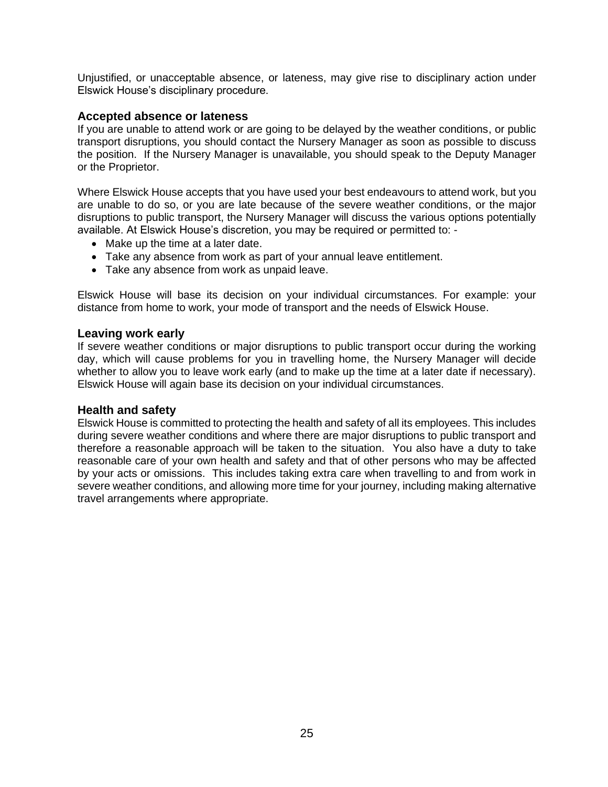Unjustified, or unacceptable absence, or lateness, may give rise to disciplinary action under Elswick House's disciplinary procedure.

#### **Accepted absence or lateness**

If you are unable to attend work or are going to be delayed by the weather conditions, or public transport disruptions, you should contact the Nursery Manager as soon as possible to discuss the position. If the Nursery Manager is unavailable, you should speak to the Deputy Manager or the Proprietor.

Where Elswick House accepts that you have used your best endeavours to attend work, but you are unable to do so, or you are late because of the severe weather conditions, or the major disruptions to public transport, the Nursery Manager will discuss the various options potentially available. At Elswick House's discretion, you may be required or permitted to: -

- Make up the time at a later date.
- Take any absence from work as part of your annual leave entitlement.
- Take any absence from work as unpaid leave.

Elswick House will base its decision on your individual circumstances. For example: your distance from home to work, your mode of transport and the needs of Elswick House.

#### **Leaving work early**

If severe weather conditions or major disruptions to public transport occur during the working day, which will cause problems for you in travelling home, the Nursery Manager will decide whether to allow you to leave work early (and to make up the time at a later date if necessary). Elswick House will again base its decision on your individual circumstances.

#### **Health and safety**

Elswick House is committed to protecting the health and safety of all its employees. This includes during severe weather conditions and where there are major disruptions to public transport and therefore a reasonable approach will be taken to the situation. You also have a duty to take reasonable care of your own health and safety and that of other persons who may be affected by your acts or omissions. This includes taking extra care when travelling to and from work in severe weather conditions, and allowing more time for your journey, including making alternative travel arrangements where appropriate.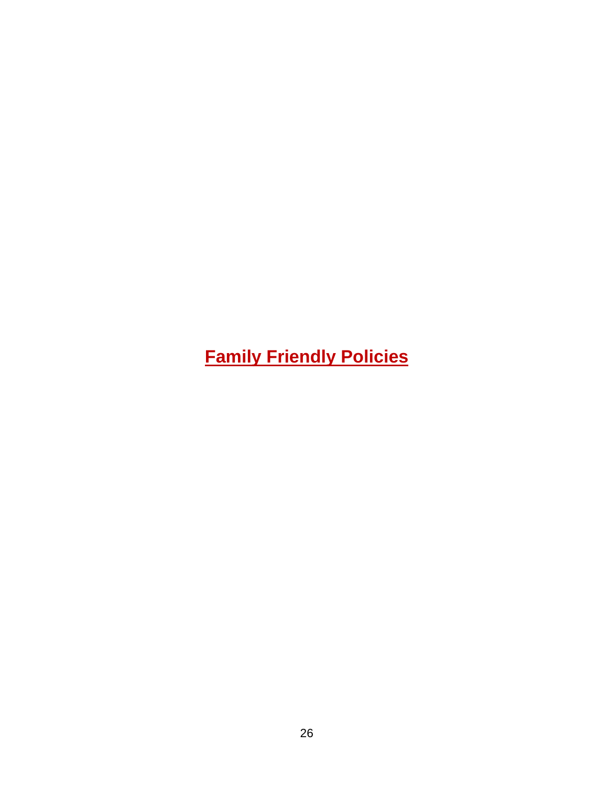<span id="page-25-0"></span>**Family Friendly Policies**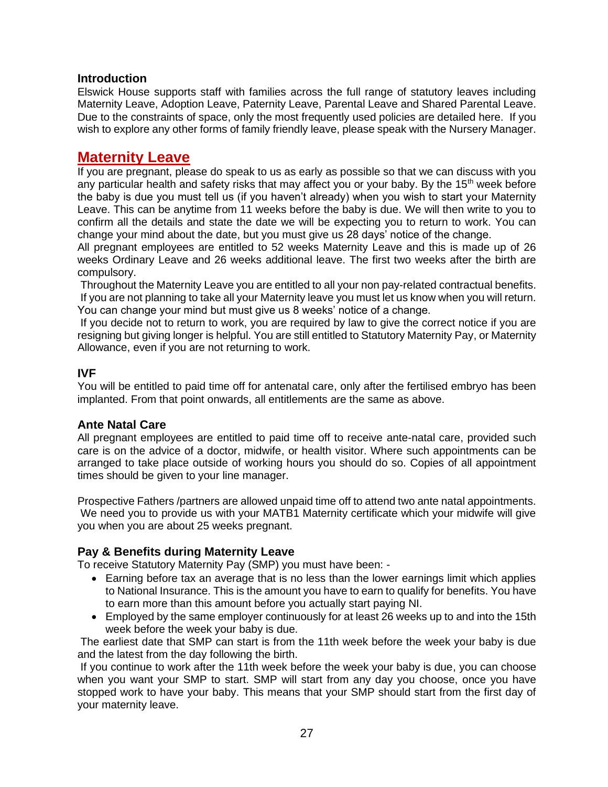### **Introduction**

Elswick House supports staff with families across the full range of statutory leaves including Maternity Leave, Adoption Leave, Paternity Leave, Parental Leave and Shared Parental Leave. Due to the constraints of space, only the most frequently used policies are detailed here. If you wish to explore any other forms of family friendly leave, please speak with the Nursery Manager.

### <span id="page-26-0"></span>**Maternity Leave**

If you are pregnant, please do speak to us as early as possible so that we can discuss with you any particular health and safety risks that may affect you or your baby. By the  $15<sup>th</sup>$  week before the baby is due you must tell us (if you haven't already) when you wish to start your Maternity Leave. This can be anytime from 11 weeks before the baby is due. We will then write to you to confirm all the details and state the date we will be expecting you to return to work. You can change your mind about the date, but you must give us 28 days' notice of the change.

All pregnant employees are entitled to 52 weeks Maternity Leave and this is made up of 26 weeks Ordinary Leave and 26 weeks additional leave. The first two weeks after the birth are compulsory.

Throughout the Maternity Leave you are entitled to all your non pay-related contractual benefits. If you are not planning to take all your Maternity leave you must let us know when you will return. You can change your mind but must give us 8 weeks' notice of a change.

If you decide not to return to work, you are required by law to give the correct notice if you are resigning but giving longer is helpful. You are still entitled to Statutory Maternity Pay, or Maternity Allowance, even if you are not returning to work.

### **IVF**

You will be entitled to paid time off for antenatal care, only after the fertilised embryo has been implanted. From that point onwards, all entitlements are the same as above.

### **Ante Natal Care**

All pregnant employees are entitled to paid time off to receive ante-natal care, provided such care is on the advice of a doctor, midwife, or health visitor. Where such appointments can be arranged to take place outside of working hours you should do so. Copies of all appointment times should be given to your line manager.

Prospective Fathers /partners are allowed unpaid time off to attend two ante natal appointments. We need you to provide us with your MATB1 Maternity certificate which your midwife will give you when you are about 25 weeks pregnant.

### **Pay & Benefits during Maternity Leave**

To receive Statutory Maternity Pay (SMP) you must have been: -

- Earning before tax an average that is no less than the lower earnings limit which applies to National Insurance. This is the amount you have to earn to qualify for benefits. You have to earn more than this amount before you actually start paying NI.
- Employed by the same employer continuously for at least 26 weeks up to and into the 15th week before the week your baby is due.

The earliest date that SMP can start is from the 11th week before the week your baby is due and the latest from the day following the birth.

If you continue to work after the 11th week before the week your baby is due, you can choose when you want your SMP to start. SMP will start from any day you choose, once you have stopped work to have your baby. This means that your SMP should start from the first day of your maternity leave.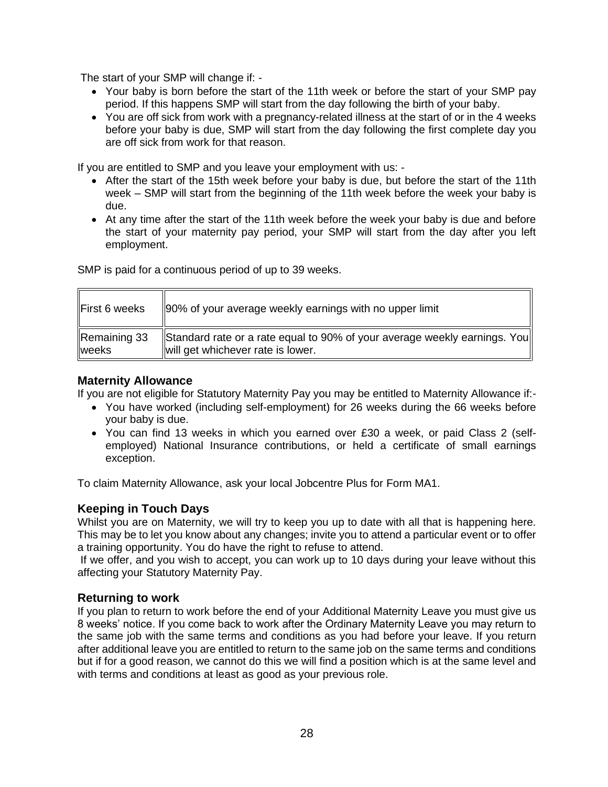The start of your SMP will change if: -

- Your baby is born before the start of the 11th week or before the start of your SMP pay period. If this happens SMP will start from the day following the birth of your baby.
- You are off sick from work with a pregnancy-related illness at the start of or in the 4 weeks before your baby is due, SMP will start from the day following the first complete day you are off sick from work for that reason.

If you are entitled to SMP and you leave your employment with us: -

- After the start of the 15th week before your baby is due, but before the start of the 11th week – SMP will start from the beginning of the 11th week before the week your baby is due.
- At any time after the start of the 11th week before the week your baby is due and before the start of your maternity pay period, your SMP will start from the day after you left employment.

SMP is paid for a continuous period of up to 39 weeks.

| First 6 weeks                                                                                                                           | 190% of your average weekly earnings with no upper limit |
|-----------------------------------------------------------------------------------------------------------------------------------------|----------------------------------------------------------|
| Remaining 33<br>Standard rate or a rate equal to 90% of your average weekly earnings. You<br>will get whichever rate is lower.<br>weeks |                                                          |

#### **Maternity Allowance**

If you are not eligible for Statutory Maternity Pay you may be entitled to Maternity Allowance if:-

- You have worked (including self-employment) for 26 weeks during the 66 weeks before your baby is due.
- You can find 13 weeks in which you earned over £30 a week, or paid Class 2 (selfemployed) National Insurance contributions, or held a certificate of small earnings exception.

To claim Maternity Allowance, ask your local Jobcentre Plus for Form MA1.

### **Keeping in Touch Days**

Whilst you are on Maternity, we will try to keep you up to date with all that is happening here. This may be to let you know about any changes; invite you to attend a particular event or to offer a training opportunity. You do have the right to refuse to attend.

If we offer, and you wish to accept, you can work up to 10 days during your leave without this affecting your Statutory Maternity Pay.

### **Returning to work**

If you plan to return to work before the end of your Additional Maternity Leave you must give us 8 weeks' notice. If you come back to work after the Ordinary Maternity Leave you may return to the same job with the same terms and conditions as you had before your leave. If you return after additional leave you are entitled to return to the same job on the same terms and conditions but if for a good reason, we cannot do this we will find a position which is at the same level and with terms and conditions at least as good as your previous role.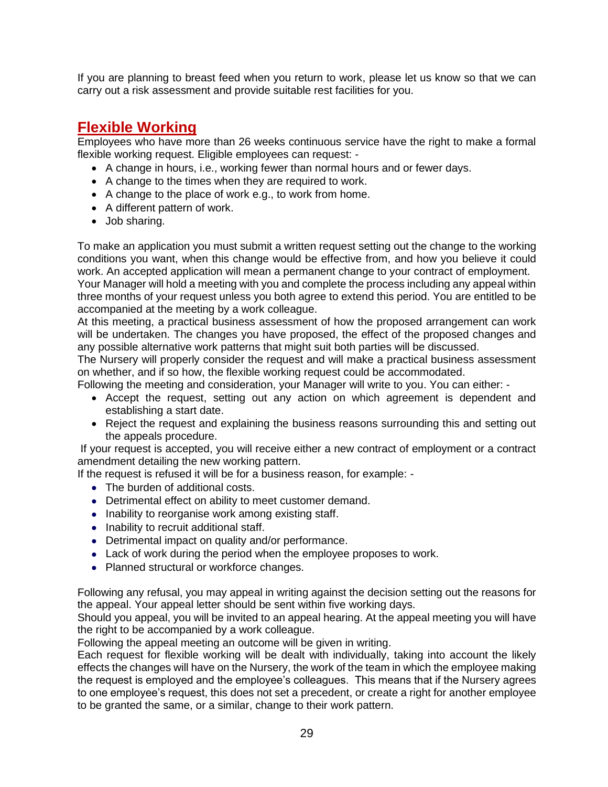If you are planning to breast feed when you return to work, please let us know so that we can carry out a risk assessment and provide suitable rest facilities for you.

### <span id="page-28-0"></span>**Flexible Working**

Employees who have more than 26 weeks continuous service have the right to make a formal flexible working request. Eligible employees can request: -

- A change in hours, i.e., working fewer than normal hours and or fewer days.
- A change to the times when they are required to work.
- A change to the place of work e.g., to work from home.
- A different pattern of work.
- Job sharing.

To make an application you must submit a written request setting out the change to the working conditions you want, when this change would be effective from, and how you believe it could work. An accepted application will mean a permanent change to your contract of employment. Your Manager will hold a meeting with you and complete the process including any appeal within

three months of your request unless you both agree to extend this period. You are entitled to be accompanied at the meeting by a work colleague.

At this meeting, a practical business assessment of how the proposed arrangement can work will be undertaken. The changes you have proposed, the effect of the proposed changes and any possible alternative work patterns that might suit both parties will be discussed.

The Nursery will properly consider the request and will make a practical business assessment on whether, and if so how, the flexible working request could be accommodated.

Following the meeting and consideration, your Manager will write to you. You can either: -

- Accept the request, setting out any action on which agreement is dependent and establishing a start date.
- Reject the request and explaining the business reasons surrounding this and setting out the appeals procedure.

If your request is accepted, you will receive either a new contract of employment or a contract amendment detailing the new working pattern.

If the request is refused it will be for a business reason, for example: -

- The burden of additional costs.
- Detrimental effect on ability to meet customer demand.
- Inability to reorganise work among existing staff.
- Inability to recruit additional staff.
- Detrimental impact on quality and/or performance.
- Lack of work during the period when the employee proposes to work.
- Planned structural or workforce changes.

Following any refusal, you may appeal in writing against the decision setting out the reasons for the appeal. Your appeal letter should be sent within five working days.

Should you appeal, you will be invited to an appeal hearing. At the appeal meeting you will have the right to be accompanied by a work colleague.

Following the appeal meeting an outcome will be given in writing.

Each request for flexible working will be dealt with individually, taking into account the likely effects the changes will have on the Nursery, the work of the team in which the employee making the request is employed and the employee's colleagues. This means that if the Nursery agrees to one employee's request, this does not set a precedent, or create a right for another employee to be granted the same, or a similar, change to their work pattern.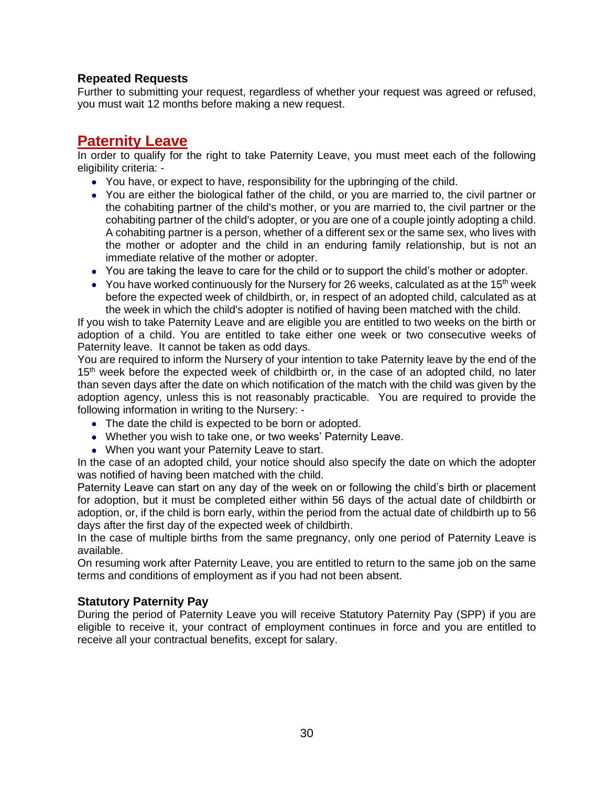### **Repeated Requests**

Further to submitting your request, regardless of whether your request was agreed or refused, you must wait 12 months before making a new request.

### <span id="page-29-0"></span>**Paternity Leave**

In order to qualify for the right to take Paternity Leave, you must meet each of the following eligibility criteria: -

- You have, or expect to have, responsibility for the upbringing of the child.
- You are either the biological father of the child, or you are married to, the civil partner or the cohabiting partner of the child's mother, or you are married to, the civil partner or the cohabiting partner of the child's adopter, or you are one of a couple jointly adopting a child. A cohabiting partner is a person, whether of a different sex or the same sex, who lives with the mother or adopter and the child in an enduring family relationship, but is not an immediate relative of the mother or adopter.
- You are taking the leave to care for the child or to support the child's mother or adopter.
- You have worked continuously for the Nursery for 26 weeks, calculated as at the 15<sup>th</sup> week before the expected week of childbirth, or, in respect of an adopted child, calculated as at the week in which the child's adopter is notified of having been matched with the child.

If you wish to take Paternity Leave and are eligible you are entitled to two weeks on the birth or adoption of a child. You are entitled to take either one week or two consecutive weeks of Paternity leave. It cannot be taken as odd days.

You are required to inform the Nursery of your intention to take Paternity leave by the end of the 15<sup>th</sup> week before the expected week of childbirth or, in the case of an adopted child, no later than seven days after the date on which notification of the match with the child was given by the adoption agency, unless this is not reasonably practicable. You are required to provide the following information in writing to the Nursery: -

- The date the child is expected to be born or adopted.
- Whether you wish to take one, or two weeks' Paternity Leave.
- When you want your Paternity Leave to start.

In the case of an adopted child, your notice should also specify the date on which the adopter was notified of having been matched with the child.

Paternity Leave can start on any day of the week on or following the child's birth or placement for adoption, but it must be completed either within 56 days of the actual date of childbirth or adoption, or, if the child is born early, within the period from the actual date of childbirth up to 56 days after the first day of the expected week of childbirth.

In the case of multiple births from the same pregnancy, only one period of Paternity Leave is available.

On resuming work after Paternity Leave, you are entitled to return to the same job on the same terms and conditions of employment as if you had not been absent.

### **Statutory Paternity Pay**

During the period of Paternity Leave you will receive Statutory Paternity Pay (SPP) if you are eligible to receive it, your contract of employment continues in force and you are entitled to receive all your contractual benefits, except for salary.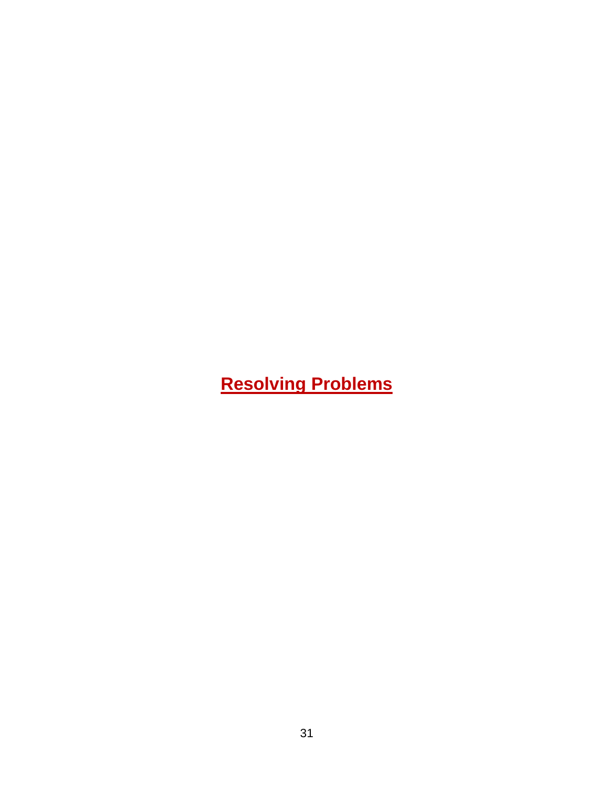# <span id="page-30-0"></span>**Resolving Problems**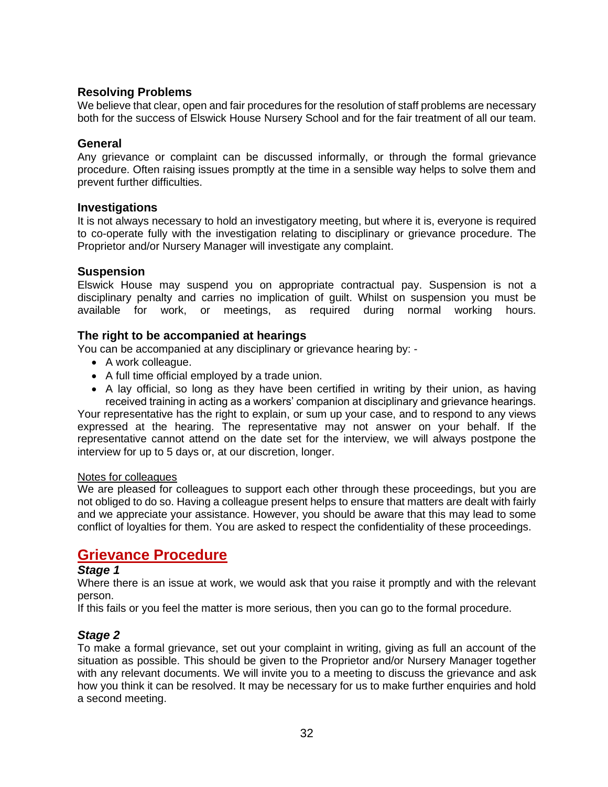### **Resolving Problems**

We believe that clear, open and fair procedures for the resolution of staff problems are necessary both for the success of Elswick House Nursery School and for the fair treatment of all our team.

### **General**

Any grievance or complaint can be discussed informally, or through the formal grievance procedure. Often raising issues promptly at the time in a sensible way helps to solve them and prevent further difficulties.

#### **Investigations**

It is not always necessary to hold an investigatory meeting, but where it is, everyone is required to co-operate fully with the investigation relating to disciplinary or grievance procedure. The Proprietor and/or Nursery Manager will investigate any complaint.

### **Suspension**

Elswick House may suspend you on appropriate contractual pay. Suspension is not a disciplinary penalty and carries no implication of guilt. Whilst on suspension you must be available for work, or meetings, as required during normal working hours.

### **The right to be accompanied at hearings**

You can be accompanied at any disciplinary or grievance hearing by: -

- A work colleague.
- A full time official employed by a trade union.
- A lay official, so long as they have been certified in writing by their union, as having received training in acting as a workers' companion at disciplinary and grievance hearings.

Your representative has the right to explain, or sum up your case, and to respond to any views expressed at the hearing. The representative may not answer on your behalf. If the representative cannot attend on the date set for the interview, we will always postpone the interview for up to 5 days or, at our discretion, longer.

#### Notes for colleagues

We are pleased for colleagues to support each other through these proceedings, but you are not obliged to do so. Having a colleague present helps to ensure that matters are dealt with fairly and we appreciate your assistance. However, you should be aware that this may lead to some conflict of loyalties for them. You are asked to respect the confidentiality of these proceedings.

### <span id="page-31-0"></span>**Grievance Procedure**

### *Stage 1*

Where there is an issue at work, we would ask that you raise it promptly and with the relevant person.

If this fails or you feel the matter is more serious, then you can go to the formal procedure.

### *Stage 2*

To make a formal grievance, set out your complaint in writing, giving as full an account of the situation as possible. This should be given to the Proprietor and/or Nursery Manager together with any relevant documents. We will invite you to a meeting to discuss the grievance and ask how you think it can be resolved. It may be necessary for us to make further enquiries and hold a second meeting.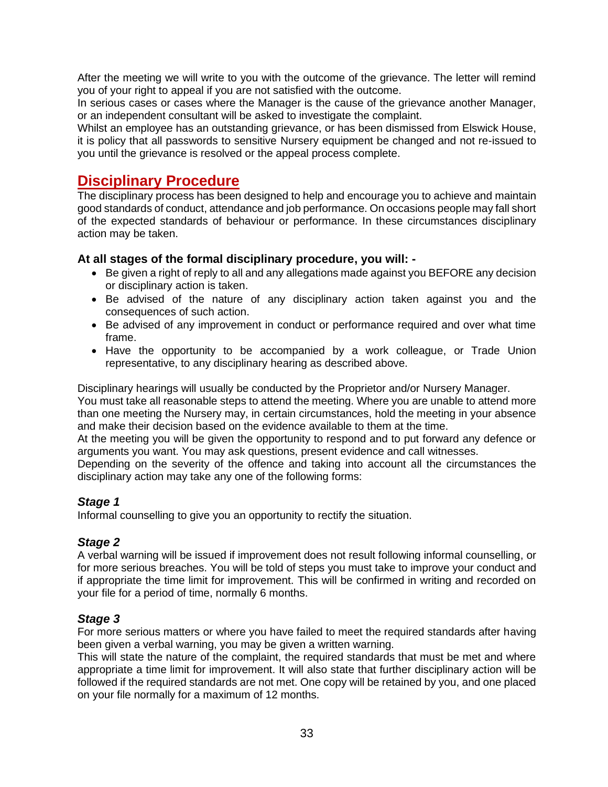After the meeting we will write to you with the outcome of the grievance. The letter will remind you of your right to appeal if you are not satisfied with the outcome.

In serious cases or cases where the Manager is the cause of the grievance another Manager, or an independent consultant will be asked to investigate the complaint.

Whilst an employee has an outstanding grievance, or has been dismissed from Elswick House, it is policy that all passwords to sensitive Nursery equipment be changed and not re-issued to you until the grievance is resolved or the appeal process complete.

### <span id="page-32-0"></span>**Disciplinary Procedure**

The disciplinary process has been designed to help and encourage you to achieve and maintain good standards of conduct, attendance and job performance. On occasions people may fall short of the expected standards of behaviour or performance. In these circumstances disciplinary action may be taken.

### **At all stages of the formal disciplinary procedure, you will: -**

- Be given a right of reply to all and any allegations made against you BEFORE any decision or disciplinary action is taken.
- Be advised of the nature of any disciplinary action taken against you and the consequences of such action.
- Be advised of any improvement in conduct or performance required and over what time frame.
- Have the opportunity to be accompanied by a work colleague, or Trade Union representative, to any disciplinary hearing as described above.

Disciplinary hearings will usually be conducted by the Proprietor and/or Nursery Manager.

You must take all reasonable steps to attend the meeting. Where you are unable to attend more than one meeting the Nursery may, in certain circumstances, hold the meeting in your absence and make their decision based on the evidence available to them at the time.

At the meeting you will be given the opportunity to respond and to put forward any defence or arguments you want. You may ask questions, present evidence and call witnesses.

Depending on the severity of the offence and taking into account all the circumstances the disciplinary action may take any one of the following forms:

### *Stage 1*

Informal counselling to give you an opportunity to rectify the situation.

### *Stage 2*

A verbal warning will be issued if improvement does not result following informal counselling, or for more serious breaches. You will be told of steps you must take to improve your conduct and if appropriate the time limit for improvement. This will be confirmed in writing and recorded on your file for a period of time, normally 6 months.

### *Stage 3*

For more serious matters or where you have failed to meet the required standards after having been given a verbal warning, you may be given a written warning.

This will state the nature of the complaint, the required standards that must be met and where appropriate a time limit for improvement. It will also state that further disciplinary action will be followed if the required standards are not met. One copy will be retained by you, and one placed on your file normally for a maximum of 12 months.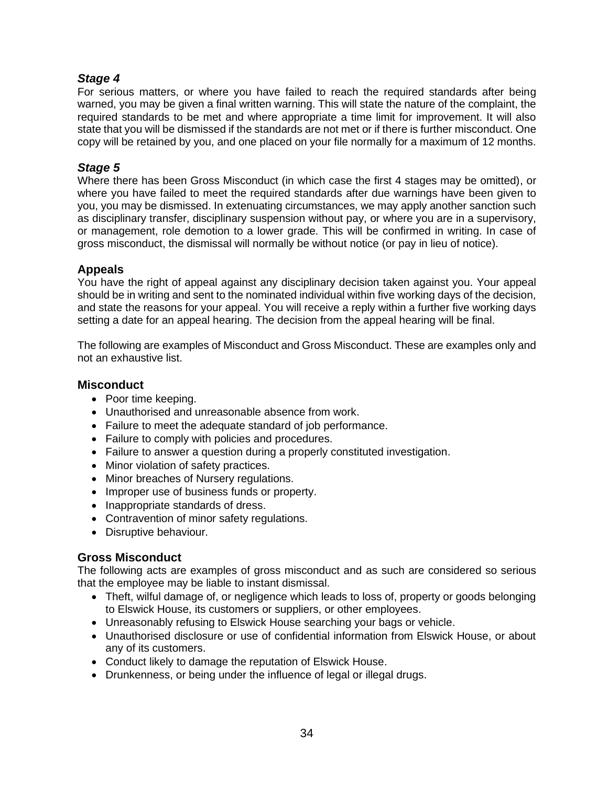### *Stage 4*

For serious matters, or where you have failed to reach the required standards after being warned, you may be given a final written warning. This will state the nature of the complaint, the required standards to be met and where appropriate a time limit for improvement. It will also state that you will be dismissed if the standards are not met or if there is further misconduct. One copy will be retained by you, and one placed on your file normally for a maximum of 12 months.

### *Stage 5*

Where there has been Gross Misconduct (in which case the first 4 stages may be omitted), or where you have failed to meet the required standards after due warnings have been given to you, you may be dismissed. In extenuating circumstances, we may apply another sanction such as disciplinary transfer, disciplinary suspension without pay, or where you are in a supervisory, or management, role demotion to a lower grade. This will be confirmed in writing. In case of gross misconduct, the dismissal will normally be without notice (or pay in lieu of notice).

### **Appeals**

You have the right of appeal against any disciplinary decision taken against you. Your appeal should be in writing and sent to the nominated individual within five working days of the decision, and state the reasons for your appeal. You will receive a reply within a further five working days setting a date for an appeal hearing. The decision from the appeal hearing will be final.

The following are examples of Misconduct and Gross Misconduct. These are examples only and not an exhaustive list.

### **Misconduct**

- Poor time keeping.
- Unauthorised and unreasonable absence from work.
- Failure to meet the adequate standard of job performance.
- Failure to comply with policies and procedures.
- Failure to answer a question during a properly constituted investigation.
- Minor violation of safety practices.
- Minor breaches of Nursery regulations.
- Improper use of business funds or property.
- Inappropriate standards of dress.
- Contravention of minor safety regulations.
- Disruptive behaviour.

### **Gross Misconduct**

The following acts are examples of gross misconduct and as such are considered so serious that the employee may be liable to instant dismissal.

- Theft, wilful damage of, or negligence which leads to loss of, property or goods belonging to Elswick House, its customers or suppliers, or other employees.
- Unreasonably refusing to Elswick House searching your bags or vehicle.
- Unauthorised disclosure or use of confidential information from Elswick House, or about any of its customers.
- Conduct likely to damage the reputation of Elswick House.
- Drunkenness, or being under the influence of legal or illegal drugs.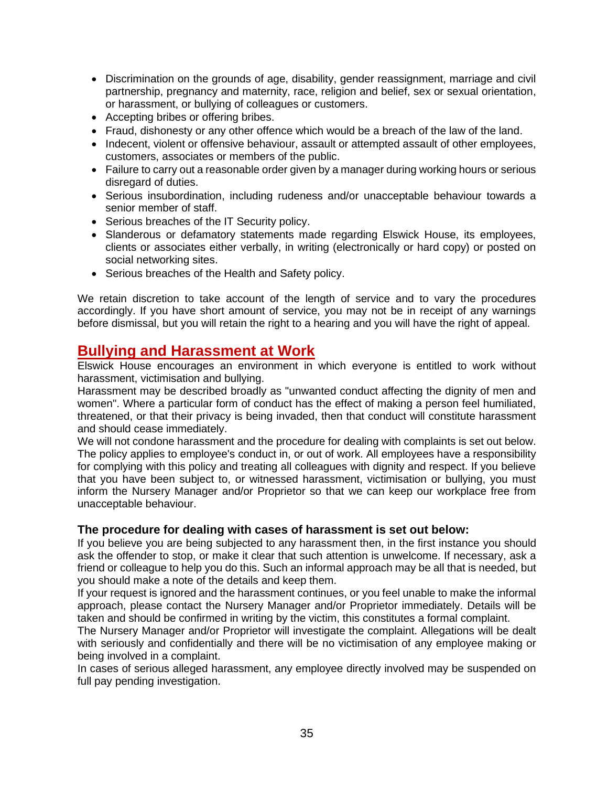- Discrimination on the grounds of age, disability, gender reassignment, marriage and civil partnership, pregnancy and maternity, race, religion and belief, sex or sexual orientation, or harassment, or bullying of colleagues or customers.
- Accepting bribes or offering bribes.
- Fraud, dishonesty or any other offence which would be a breach of the law of the land.
- Indecent, violent or offensive behaviour, assault or attempted assault of other employees, customers, associates or members of the public.
- Failure to carry out a reasonable order given by a manager during working hours or serious disregard of duties.
- Serious insubordination, including rudeness and/or unacceptable behaviour towards a senior member of staff.
- Serious breaches of the IT Security policy.
- Slanderous or defamatory statements made regarding Elswick House, its employees, clients or associates either verbally, in writing (electronically or hard copy) or posted on social networking sites.
- Serious breaches of the Health and Safety policy.

We retain discretion to take account of the length of service and to vary the procedures accordingly. If you have short amount of service, you may not be in receipt of any warnings before dismissal, but you will retain the right to a hearing and you will have the right of appeal.

### <span id="page-34-0"></span>**Bullying and Harassment at Work**

Elswick House encourages an environment in which everyone is entitled to work without harassment, victimisation and bullying.

Harassment may be described broadly as "unwanted conduct affecting the dignity of men and women". Where a particular form of conduct has the effect of making a person feel humiliated, threatened, or that their privacy is being invaded, then that conduct will constitute harassment and should cease immediately.

We will not condone harassment and the procedure for dealing with complaints is set out below. The policy applies to employee's conduct in, or out of work. All employees have a responsibility for complying with this policy and treating all colleagues with dignity and respect. If you believe that you have been subject to, or witnessed harassment, victimisation or bullying, you must inform the Nursery Manager and/or Proprietor so that we can keep our workplace free from unacceptable behaviour.

### **The procedure for dealing with cases of harassment is set out below:**

If you believe you are being subjected to any harassment then, in the first instance you should ask the offender to stop, or make it clear that such attention is unwelcome. If necessary, ask a friend or colleague to help you do this. Such an informal approach may be all that is needed, but you should make a note of the details and keep them.

If your request is ignored and the harassment continues, or you feel unable to make the informal approach, please contact the Nursery Manager and/or Proprietor immediately. Details will be taken and should be confirmed in writing by the victim, this constitutes a formal complaint.

The Nursery Manager and/or Proprietor will investigate the complaint. Allegations will be dealt with seriously and confidentially and there will be no victimisation of any employee making or being involved in a complaint.

In cases of serious alleged harassment, any employee directly involved may be suspended on full pay pending investigation.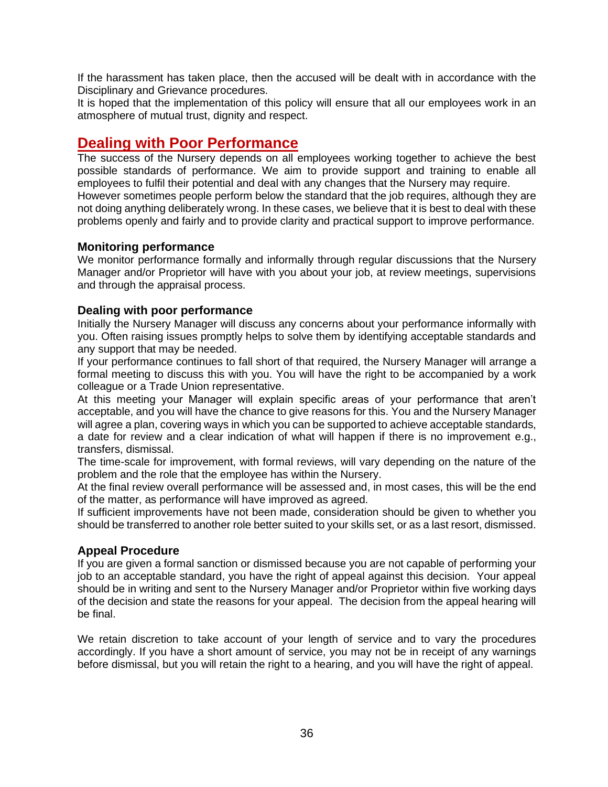If the harassment has taken place, then the accused will be dealt with in accordance with the Disciplinary and Grievance procedures.

It is hoped that the implementation of this policy will ensure that all our employees work in an atmosphere of mutual trust, dignity and respect.

### <span id="page-35-0"></span>**Dealing with Poor Performance**

The success of the Nursery depends on all employees working together to achieve the best possible standards of performance. We aim to provide support and training to enable all employees to fulfil their potential and deal with any changes that the Nursery may require. However sometimes people perform below the standard that the job requires, although they are not doing anything deliberately wrong. In these cases, we believe that it is best to deal with these problems openly and fairly and to provide clarity and practical support to improve performance.

### **Monitoring performance**

We monitor performance formally and informally through regular discussions that the Nursery Manager and/or Proprietor will have with you about your job, at review meetings, supervisions and through the appraisal process.

### **Dealing with poor performance**

Initially the Nursery Manager will discuss any concerns about your performance informally with you. Often raising issues promptly helps to solve them by identifying acceptable standards and any support that may be needed.

If your performance continues to fall short of that required, the Nursery Manager will arrange a formal meeting to discuss this with you. You will have the right to be accompanied by a work colleague or a Trade Union representative.

At this meeting your Manager will explain specific areas of your performance that aren't acceptable, and you will have the chance to give reasons for this. You and the Nursery Manager will agree a plan, covering ways in which you can be supported to achieve acceptable standards, a date for review and a clear indication of what will happen if there is no improvement e.g., transfers, dismissal.

The time-scale for improvement, with formal reviews, will vary depending on the nature of the problem and the role that the employee has within the Nursery.

At the final review overall performance will be assessed and, in most cases, this will be the end of the matter, as performance will have improved as agreed.

If sufficient improvements have not been made, consideration should be given to whether you should be transferred to another role better suited to your skills set, or as a last resort, dismissed.

### **Appeal Procedure**

If you are given a formal sanction or dismissed because you are not capable of performing your job to an acceptable standard, you have the right of appeal against this decision. Your appeal should be in writing and sent to the Nursery Manager and/or Proprietor within five working days of the decision and state the reasons for your appeal. The decision from the appeal hearing will be final.

We retain discretion to take account of your length of service and to vary the procedures accordingly. If you have a short amount of service, you may not be in receipt of any warnings before dismissal, but you will retain the right to a hearing, and you will have the right of appeal.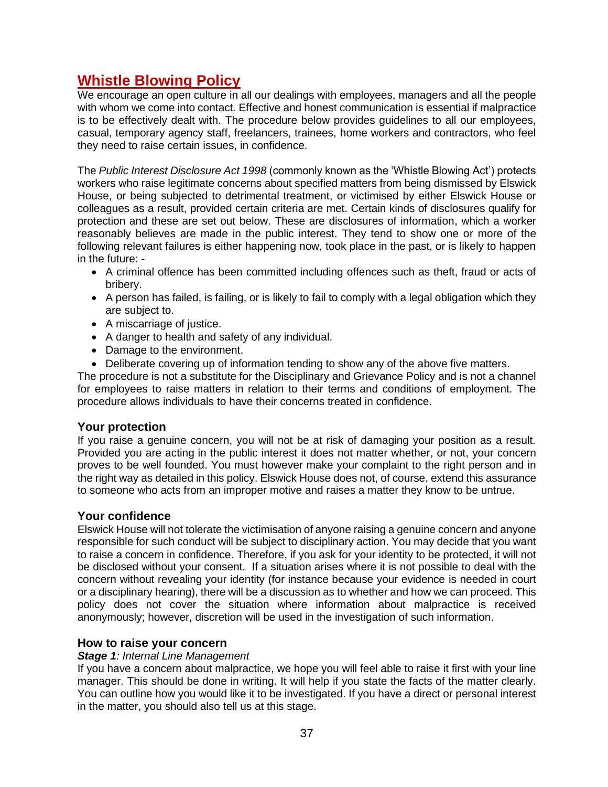### <span id="page-36-0"></span>**Whistle Blowing Policy**

We encourage an open culture in all our dealings with employees, managers and all the people with whom we come into contact. Effective and honest communication is essential if malpractice is to be effectively dealt with. The procedure below provides guidelines to all our employees, casual, temporary agency staff, freelancers, trainees, home workers and contractors, who feel they need to raise certain issues, in confidence.

The *Public Interest Disclosure Act 1998* (commonly known as the 'Whistle Blowing Act') protects workers who raise legitimate concerns about specified matters from being dismissed by Elswick House, or being subjected to detrimental treatment, or victimised by either Elswick House or colleagues as a result, provided certain criteria are met. Certain kinds of disclosures qualify for protection and these are set out below. These are disclosures of information, which a worker reasonably believes are made in the public interest. They tend to show one or more of the following relevant failures is either happening now, took place in the past, or is likely to happen in the future: -

- A criminal offence has been committed including offences such as theft, fraud or acts of bribery.
- A person has failed, is failing, or is likely to fail to comply with a legal obligation which they are subject to.
- A miscarriage of justice.
- A danger to health and safety of any individual.
- Damage to the environment.
- Deliberate covering up of information tending to show any of the above five matters.

The procedure is not a substitute for the Disciplinary and Grievance Policy and is not a channel for employees to raise matters in relation to their terms and conditions of employment. The procedure allows individuals to have their concerns treated in confidence.

### **Your protection**

If you raise a genuine concern, you will not be at risk of damaging your position as a result. Provided you are acting in the public interest it does not matter whether, or not, your concern proves to be well founded. You must however make your complaint to the right person and in the right way as detailed in this policy. Elswick House does not, of course, extend this assurance to someone who acts from an improper motive and raises a matter they know to be untrue.

### **Your confidence**

Elswick House will not tolerate the victimisation of anyone raising a genuine concern and anyone responsible for such conduct will be subject to disciplinary action. You may decide that you want to raise a concern in confidence. Therefore, if you ask for your identity to be protected, it will not be disclosed without your consent. If a situation arises where it is not possible to deal with the concern without revealing your identity (for instance because your evidence is needed in court or a disciplinary hearing), there will be a discussion as to whether and how we can proceed. This policy does not cover the situation where information about malpractice is received anonymously; however, discretion will be used in the investigation of such information.

### **How to raise your concern**

### *Stage 1: Internal Line Management*

If you have a concern about malpractice, we hope you will feel able to raise it first with your line manager. This should be done in writing. It will help if you state the facts of the matter clearly. You can outline how you would like it to be investigated. If you have a direct or personal interest in the matter, you should also tell us at this stage.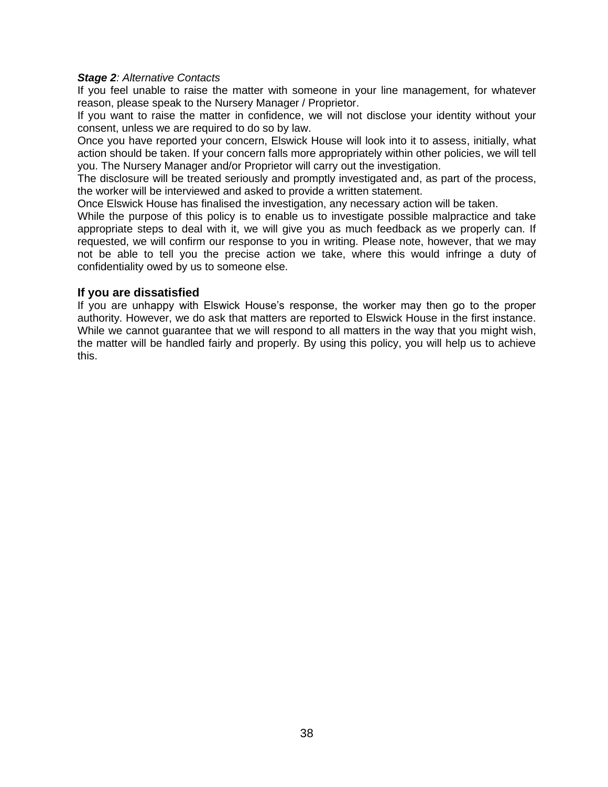#### *Stage 2: Alternative Contacts*

If you feel unable to raise the matter with someone in your line management, for whatever reason, please speak to the Nursery Manager / Proprietor.

If you want to raise the matter in confidence, we will not disclose your identity without your consent, unless we are required to do so by law.

Once you have reported your concern, Elswick House will look into it to assess, initially, what action should be taken. If your concern falls more appropriately within other policies, we will tell you. The Nursery Manager and/or Proprietor will carry out the investigation.

The disclosure will be treated seriously and promptly investigated and, as part of the process, the worker will be interviewed and asked to provide a written statement.

Once Elswick House has finalised the investigation, any necessary action will be taken.

While the purpose of this policy is to enable us to investigate possible malpractice and take appropriate steps to deal with it, we will give you as much feedback as we properly can. If requested, we will confirm our response to you in writing. Please note, however, that we may not be able to tell you the precise action we take, where this would infringe a duty of confidentiality owed by us to someone else.

#### **If you are dissatisfied**

If you are unhappy with Elswick House's response, the worker may then go to the proper authority. However, we do ask that matters are reported to Elswick House in the first instance. While we cannot guarantee that we will respond to all matters in the way that you might wish, the matter will be handled fairly and properly. By using this policy, you will help us to achieve this.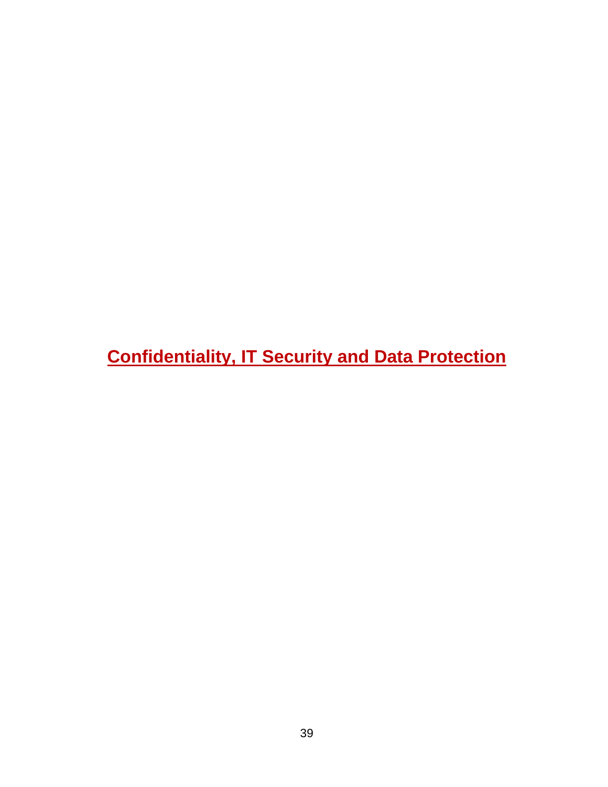<span id="page-38-0"></span>**Confidentiality, IT Security and Data Protection**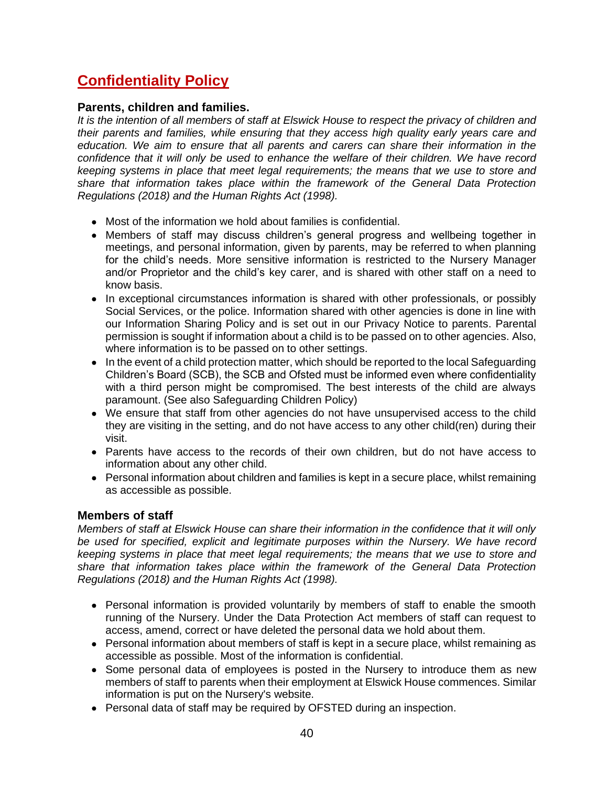### <span id="page-39-0"></span>**Confidentiality Policy**

### **Parents, children and families.**

*It is the intention of all members of staff at Elswick House to respect the privacy of children and their parents and families, while ensuring that they access high quality early years care and education. We aim to ensure that all parents and carers can share their information in the confidence that it will only be used to enhance the welfare of their children. We have record keeping systems in place that meet legal requirements; the means that we use to store and share that information takes place within the framework of the General Data Protection Regulations (2018) and the Human Rights Act (1998).*

- Most of the information we hold about families is confidential.
- Members of staff may discuss children's general progress and wellbeing together in meetings, and personal information, given by parents, may be referred to when planning for the child's needs. More sensitive information is restricted to the Nursery Manager and/or Proprietor and the child's key carer, and is shared with other staff on a need to know basis.
- In exceptional circumstances information is shared with other professionals, or possibly Social Services, or the police. Information shared with other agencies is done in line with our Information Sharing Policy and is set out in our Privacy Notice to parents. Parental permission is sought if information about a child is to be passed on to other agencies. Also, where information is to be passed on to other settings.
- In the event of a child protection matter, which should be reported to the local Safeguarding Children's Board (SCB), the SCB and Ofsted must be informed even where confidentiality with a third person might be compromised. The best interests of the child are always paramount. (See also Safeguarding Children Policy)
- We ensure that staff from other agencies do not have unsupervised access to the child they are visiting in the setting, and do not have access to any other child(ren) during their visit.
- Parents have access to the records of their own children, but do not have access to information about any other child.
- Personal information about children and families is kept in a secure place, whilst remaining as accessible as possible.

### **Members of staff**

*Members of staff at Elswick House can share their information in the confidence that it will only be used for specified, explicit and legitimate purposes within the Nursery. We have record keeping systems in place that meet legal requirements; the means that we use to store and share that information takes place within the framework of the General Data Protection Regulations (2018) and the Human Rights Act (1998).*

- Personal information is provided voluntarily by members of staff to enable the smooth running of the Nursery. Under the Data Protection Act members of staff can request to access, amend, correct or have deleted the personal data we hold about them.
- Personal information about members of staff is kept in a secure place, whilst remaining as accessible as possible. Most of the information is confidential.
- Some personal data of employees is posted in the Nursery to introduce them as new members of staff to parents when their employment at Elswick House commences. Similar information is put on the Nursery's website.
- Personal data of staff may be required by OFSTED during an inspection.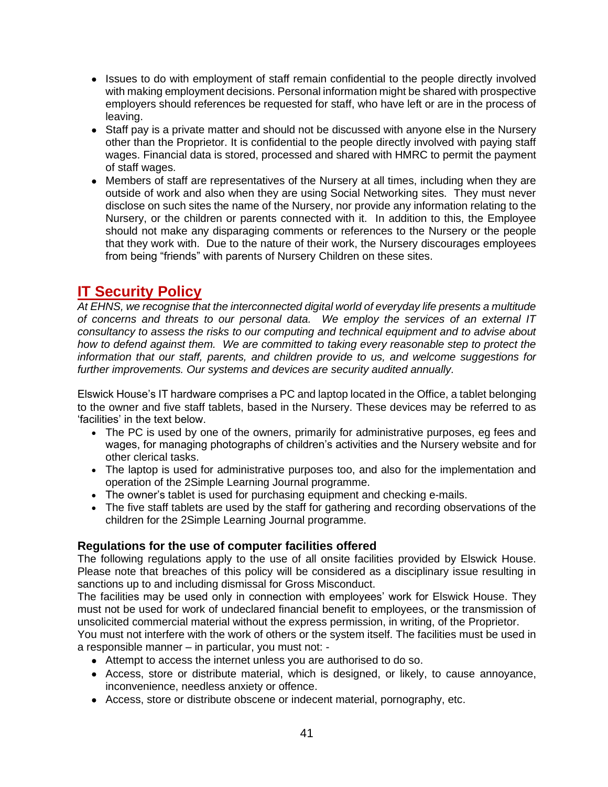- Issues to do with employment of staff remain confidential to the people directly involved with making employment decisions. Personal information might be shared with prospective employers should references be requested for staff, who have left or are in the process of leaving.
- Staff pay is a private matter and should not be discussed with anyone else in the Nursery other than the Proprietor. It is confidential to the people directly involved with paying staff wages. Financial data is stored, processed and shared with HMRC to permit the payment of staff wages.
- Members of staff are representatives of the Nursery at all times, including when they are outside of work and also when they are using Social Networking sites. They must never disclose on such sites the name of the Nursery, nor provide any information relating to the Nursery, or the children or parents connected with it. In addition to this, the Employee should not make any disparaging comments or references to the Nursery or the people that they work with. Due to the nature of their work, the Nursery discourages employees from being "friends" with parents of Nursery Children on these sites.

### <span id="page-40-0"></span>**IT Security Policy**

*At EHNS, we recognise that the interconnected digital world of everyday life presents a multitude of concerns and threats to our personal data. We employ the services of an external IT consultancy to assess the risks to our computing and technical equipment and to advise about how to defend against them. We are committed to taking every reasonable step to protect the information that our staff, parents, and children provide to us, and welcome suggestions for further improvements. Our systems and devices are security audited annually.*

Elswick House's IT hardware comprises a PC and laptop located in the Office, a tablet belonging to the owner and five staff tablets, based in the Nursery. These devices may be referred to as 'facilities' in the text below.

- The PC is used by one of the owners, primarily for administrative purposes, eg fees and wages, for managing photographs of children's activities and the Nursery website and for other clerical tasks.
- The laptop is used for administrative purposes too, and also for the implementation and operation of the 2Simple Learning Journal programme.
- The owner's tablet is used for purchasing equipment and checking e-mails.
- The five staff tablets are used by the staff for gathering and recording observations of the children for the 2Simple Learning Journal programme.

### **Regulations for the use of computer facilities offered**

The following regulations apply to the use of all onsite facilities provided by Elswick House. Please note that breaches of this policy will be considered as a disciplinary issue resulting in sanctions up to and including dismissal for Gross Misconduct.

The facilities may be used only in connection with employees' work for Elswick House. They must not be used for work of undeclared financial benefit to employees, or the transmission of unsolicited commercial material without the express permission, in writing, of the Proprietor.

You must not interfere with the work of others or the system itself. The facilities must be used in a responsible manner – in particular, you must not: -

- Attempt to access the internet unless you are authorised to do so.
- Access, store or distribute material, which is designed, or likely, to cause annoyance, inconvenience, needless anxiety or offence.
- Access, store or distribute obscene or indecent material, pornography, etc.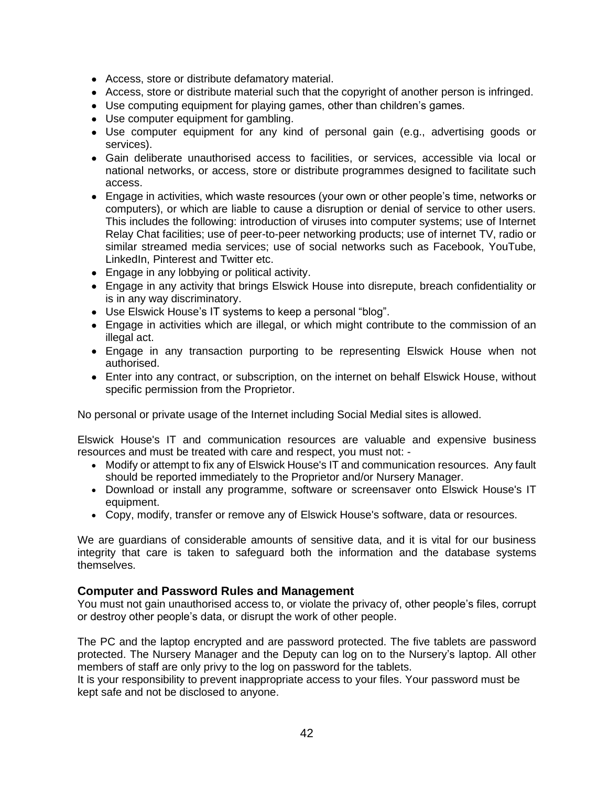- Access, store or distribute defamatory material.
- Access, store or distribute material such that the copyright of another person is infringed.
- Use computing equipment for playing games, other than children's games.
- Use computer equipment for gambling.
- Use computer equipment for any kind of personal gain (e.g., advertising goods or services).
- Gain deliberate unauthorised access to facilities, or services, accessible via local or national networks, or access, store or distribute programmes designed to facilitate such access.
- Engage in activities, which waste resources (your own or other people's time, networks or computers), or which are liable to cause a disruption or denial of service to other users. This includes the following: introduction of viruses into computer systems; use of Internet Relay Chat facilities; use of peer-to-peer networking products; use of internet TV, radio or similar streamed media services; use of social networks such as Facebook, YouTube, LinkedIn, Pinterest and Twitter etc.
- Engage in any lobbying or political activity.
- Engage in any activity that brings Elswick House into disrepute, breach confidentiality or is in any way discriminatory.
- Use Elswick House's IT systems to keep a personal "blog".
- Engage in activities which are illegal, or which might contribute to the commission of an illegal act.
- Engage in any transaction purporting to be representing Elswick House when not authorised.
- Enter into any contract, or subscription, on the internet on behalf Elswick House, without specific permission from the Proprietor.

No personal or private usage of the Internet including Social Medial sites is allowed.

Elswick House's IT and communication resources are valuable and expensive business resources and must be treated with care and respect, you must not: -

- Modify or attempt to fix any of Elswick House's IT and communication resources. Any fault should be reported immediately to the Proprietor and/or Nursery Manager.
- Download or install any programme, software or screensaver onto Elswick House's IT equipment.
- Copy, modify, transfer or remove any of Elswick House's software, data or resources.

We are guardians of considerable amounts of sensitive data, and it is vital for our business integrity that care is taken to safeguard both the information and the database systems themselves.

#### **Computer and Password Rules and Management**

You must not gain unauthorised access to, or violate the privacy of, other people's files, corrupt or destroy other people's data, or disrupt the work of other people.

The PC and the laptop encrypted and are password protected. The five tablets are password protected. The Nursery Manager and the Deputy can log on to the Nursery's laptop. All other members of staff are only privy to the log on password for the tablets.

It is your responsibility to prevent inappropriate access to your files. Your password must be kept safe and not be disclosed to anyone.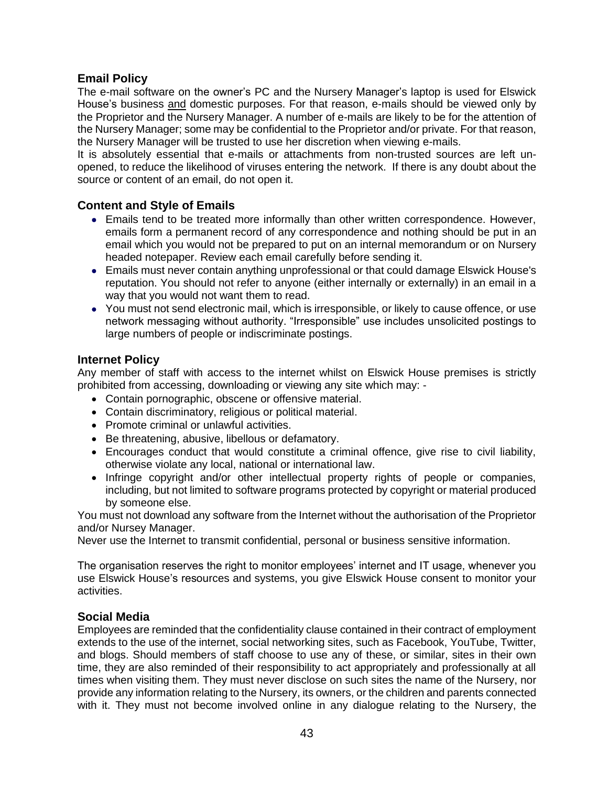### **Email Policy**

The e-mail software on the owner's PC and the Nursery Manager's laptop is used for Elswick House's business and domestic purposes. For that reason, e-mails should be viewed only by the Proprietor and the Nursery Manager. A number of e-mails are likely to be for the attention of the Nursery Manager; some may be confidential to the Proprietor and/or private. For that reason, the Nursery Manager will be trusted to use her discretion when viewing e-mails.

It is absolutely essential that e-mails or attachments from non-trusted sources are left unopened, to reduce the likelihood of viruses entering the network. If there is any doubt about the source or content of an email, do not open it.

### **Content and Style of Emails**

- Emails tend to be treated more informally than other written correspondence. However, emails form a permanent record of any correspondence and nothing should be put in an email which you would not be prepared to put on an internal memorandum or on Nursery headed notepaper. Review each email carefully before sending it.
- Emails must never contain anything unprofessional or that could damage Elswick House's reputation. You should not refer to anyone (either internally or externally) in an email in a way that you would not want them to read.
- You must not send electronic mail, which is irresponsible, or likely to cause offence, or use network messaging without authority. "Irresponsible" use includes unsolicited postings to large numbers of people or indiscriminate postings.

### **Internet Policy**

Any member of staff with access to the internet whilst on Elswick House premises is strictly prohibited from accessing, downloading or viewing any site which may: -

- Contain pornographic, obscene or offensive material.
- Contain discriminatory, religious or political material.
- Promote criminal or unlawful activities.
- Be threatening, abusive, libellous or defamatory.
- Encourages conduct that would constitute a criminal offence, give rise to civil liability, otherwise violate any local, national or international law.
- Infringe copyright and/or other intellectual property rights of people or companies, including, but not limited to software programs protected by copyright or material produced by someone else.

You must not download any software from the Internet without the authorisation of the Proprietor and/or Nursey Manager.

Never use the Internet to transmit confidential, personal or business sensitive information.

The organisation reserves the right to monitor employees' internet and IT usage, whenever you use Elswick House's resources and systems, you give Elswick House consent to monitor your activities.

### **Social Media**

Employees are reminded that the confidentiality clause contained in their contract of employment extends to the use of the internet, social networking sites, such as Facebook, YouTube, Twitter, and blogs. Should members of staff choose to use any of these, or similar, sites in their own time, they are also reminded of their responsibility to act appropriately and professionally at all times when visiting them. They must never disclose on such sites the name of the Nursery, nor provide any information relating to the Nursery, its owners, or the children and parents connected with it. They must not become involved online in any dialogue relating to the Nursery, the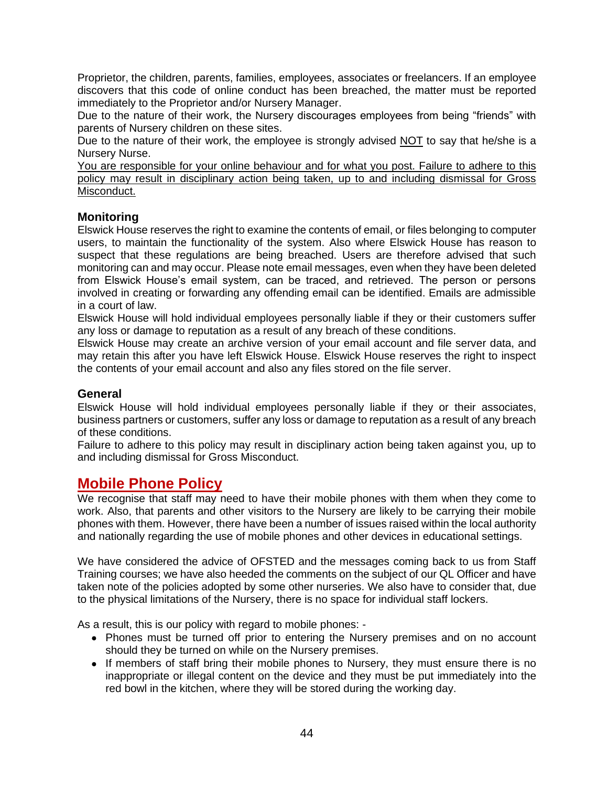Proprietor, the children, parents, families, employees, associates or freelancers. If an employee discovers that this code of online conduct has been breached, the matter must be reported immediately to the Proprietor and/or Nursery Manager.

Due to the nature of their work, the Nursery discourages employees from being "friends" with parents of Nursery children on these sites.

Due to the nature of their work, the employee is strongly advised NOT to say that he/she is a Nursery Nurse.

You are responsible for your online behaviour and for what you post. Failure to adhere to this policy may result in disciplinary action being taken, up to and including dismissal for Gross Misconduct.

### **Monitoring**

Elswick House reserves the right to examine the contents of email, or files belonging to computer users, to maintain the functionality of the system. Also where Elswick House has reason to suspect that these regulations are being breached. Users are therefore advised that such monitoring can and may occur. Please note email messages, even when they have been deleted from Elswick House's email system, can be traced, and retrieved. The person or persons involved in creating or forwarding any offending email can be identified. Emails are admissible in a court of law.

Elswick House will hold individual employees personally liable if they or their customers suffer any loss or damage to reputation as a result of any breach of these conditions.

Elswick House may create an archive version of your email account and file server data, and may retain this after you have left Elswick House. Elswick House reserves the right to inspect the contents of your email account and also any files stored on the file server.

### **General**

Elswick House will hold individual employees personally liable if they or their associates, business partners or customers, suffer any loss or damage to reputation as a result of any breach of these conditions.

Failure to adhere to this policy may result in disciplinary action being taken against you, up to and including dismissal for Gross Misconduct.

### <span id="page-43-0"></span>**Mobile Phone Policy**

We recognise that staff may need to have their mobile phones with them when they come to work. Also, that parents and other visitors to the Nursery are likely to be carrying their mobile phones with them. However, there have been a number of issues raised within the local authority and nationally regarding the use of mobile phones and other devices in educational settings.

We have considered the advice of OFSTED and the messages coming back to us from Staff Training courses; we have also heeded the comments on the subject of our QL Officer and have taken note of the policies adopted by some other nurseries. We also have to consider that, due to the physical limitations of the Nursery, there is no space for individual staff lockers.

As a result, this is our policy with regard to mobile phones: -

- Phones must be turned off prior to entering the Nursery premises and on no account should they be turned on while on the Nursery premises.
- If members of staff bring their mobile phones to Nursery, they must ensure there is no inappropriate or illegal content on the device and they must be put immediately into the red bowl in the kitchen, where they will be stored during the working day.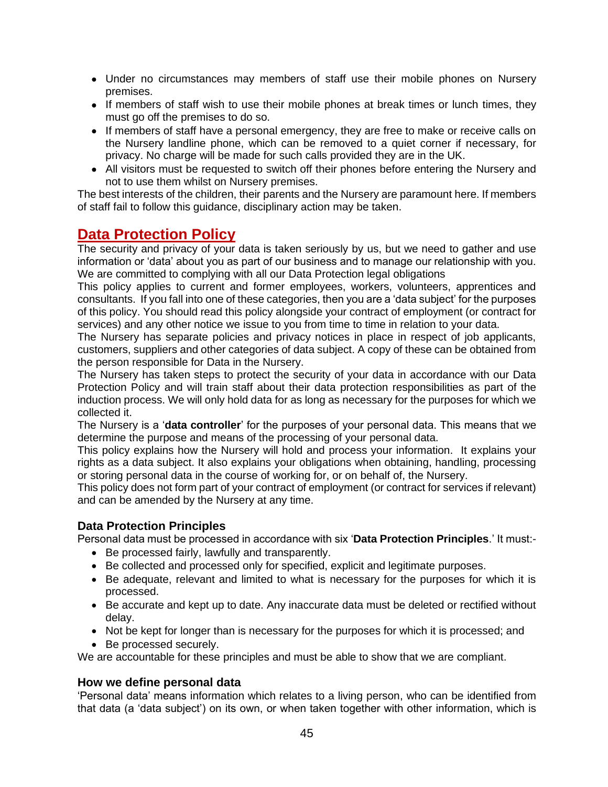- Under no circumstances may members of staff use their mobile phones on Nursery premises.
- If members of staff wish to use their mobile phones at break times or lunch times, they must go off the premises to do so.
- If members of staff have a personal emergency, they are free to make or receive calls on the Nursery landline phone, which can be removed to a quiet corner if necessary, for privacy. No charge will be made for such calls provided they are in the UK.
- All visitors must be requested to switch off their phones before entering the Nursery and not to use them whilst on Nursery premises.

The best interests of the children, their parents and the Nursery are paramount here. If members of staff fail to follow this guidance, disciplinary action may be taken.

### <span id="page-44-0"></span>**Data Protection Policy**

The security and privacy of your data is taken seriously by us, but we need to gather and use information or 'data' about you as part of our business and to manage our relationship with you. We are committed to complying with all our Data Protection legal obligations

This policy applies to current and former employees, workers, volunteers, apprentices and consultants. If you fall into one of these categories, then you are a 'data subject' for the purposes of this policy. You should read this policy alongside your contract of employment (or contract for services) and any other notice we issue to you from time to time in relation to your data.

The Nursery has separate policies and privacy notices in place in respect of job applicants, customers, suppliers and other categories of data subject. A copy of these can be obtained from the person responsible for Data in the Nursery.

The Nursery has taken steps to protect the security of your data in accordance with our Data Protection Policy and will train staff about their data protection responsibilities as part of the induction process. We will only hold data for as long as necessary for the purposes for which we collected it.

The Nursery is a '**data controller**' for the purposes of your personal data. This means that we determine the purpose and means of the processing of your personal data.

This policy explains how the Nursery will hold and process your information. It explains your rights as a data subject. It also explains your obligations when obtaining, handling, processing or storing personal data in the course of working for, or on behalf of, the Nursery.

This policy does not form part of your contract of employment (or contract for services if relevant) and can be amended by the Nursery at any time.

### **Data Protection Principles**

Personal data must be processed in accordance with six '**Data Protection Principles**.' It must:-

- Be processed fairly, lawfully and transparently.
- Be collected and processed only for specified, explicit and legitimate purposes.
- Be adequate, relevant and limited to what is necessary for the purposes for which it is processed.
- Be accurate and kept up to date. Any inaccurate data must be deleted or rectified without delay.
- Not be kept for longer than is necessary for the purposes for which it is processed; and
- Be processed securely.

We are accountable for these principles and must be able to show that we are compliant.

### **How we define personal data**

'Personal data' means information which relates to a living person, who can be identified from that data (a 'data subject') on its own, or when taken together with other information, which is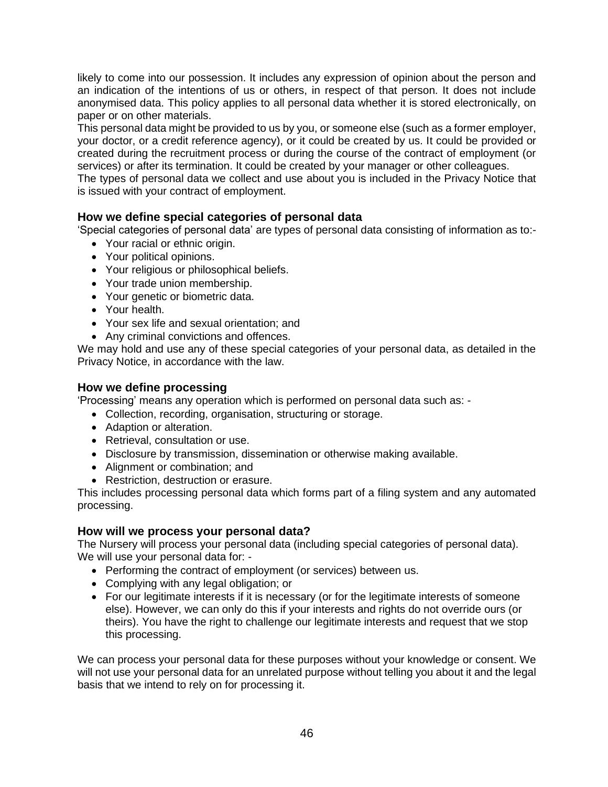likely to come into our possession. It includes any expression of opinion about the person and an indication of the intentions of us or others, in respect of that person. It does not include anonymised data. This policy applies to all personal data whether it is stored electronically, on paper or on other materials.

This personal data might be provided to us by you, or someone else (such as a former employer, your doctor, or a credit reference agency), or it could be created by us. It could be provided or created during the recruitment process or during the course of the contract of employment (or services) or after its termination. It could be created by your manager or other colleagues.

The types of personal data we collect and use about you is included in the Privacy Notice that is issued with your contract of employment.

### **How we define special categories of personal data**

'Special categories of personal data' are types of personal data consisting of information as to:-

- Your racial or ethnic origin.
- Your political opinions.
- Your religious or philosophical beliefs.
- Your trade union membership.
- Your genetic or biometric data.
- Your health.
- Your sex life and sexual orientation; and
- Any criminal convictions and offences.

We may hold and use any of these special categories of your personal data, as detailed in the Privacy Notice, in accordance with the law.

### **How we define processing**

'Processing' means any operation which is performed on personal data such as: -

- Collection, recording, organisation, structuring or storage.
- Adaption or alteration.
- Retrieval, consultation or use.
- Disclosure by transmission, dissemination or otherwise making available.
- Alignment or combination; and
- Restriction, destruction or erasure.

This includes processing personal data which forms part of a filing system and any automated processing.

#### **How will we process your personal data?**

The Nursery will process your personal data (including special categories of personal data). We will use your personal data for: -

- Performing the contract of employment (or services) between us.
- Complying with any legal obligation; or
- For our legitimate interests if it is necessary (or for the legitimate interests of someone else). However, we can only do this if your interests and rights do not override ours (or theirs). You have the right to challenge our legitimate interests and request that we stop this processing.

We can process your personal data for these purposes without your knowledge or consent. We will not use your personal data for an unrelated purpose without telling you about it and the legal basis that we intend to rely on for processing it.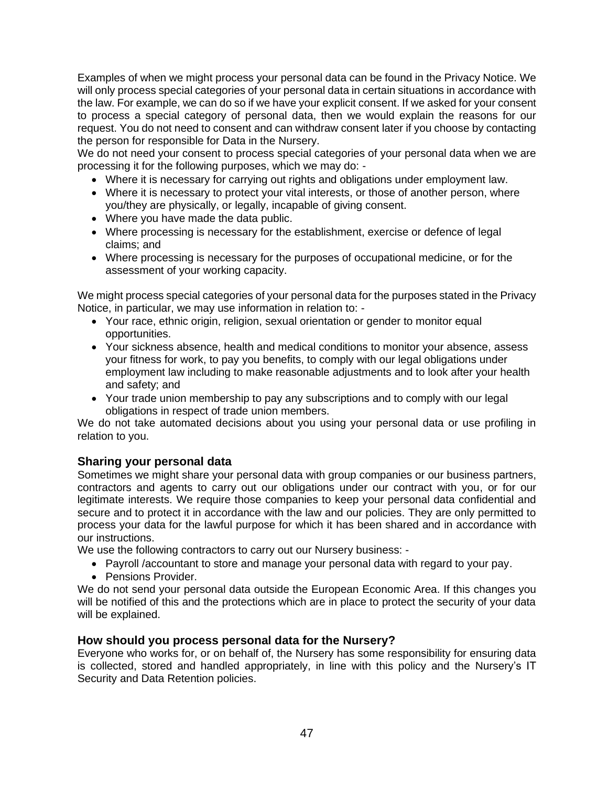Examples of when we might process your personal data can be found in the Privacy Notice. We will only process special categories of your personal data in certain situations in accordance with the law. For example, we can do so if we have your explicit consent. If we asked for your consent to process a special category of personal data, then we would explain the reasons for our request. You do not need to consent and can withdraw consent later if you choose by contacting the person for responsible for Data in the Nursery.

We do not need your consent to process special categories of your personal data when we are processing it for the following purposes, which we may do: -

- Where it is necessary for carrying out rights and obligations under employment law.
- Where it is necessary to protect your vital interests, or those of another person, where you/they are physically, or legally, incapable of giving consent.
- Where you have made the data public.
- Where processing is necessary for the establishment, exercise or defence of legal claims; and
- Where processing is necessary for the purposes of occupational medicine, or for the assessment of your working capacity.

We might process special categories of your personal data for the purposes stated in the Privacy Notice, in particular, we may use information in relation to: -

- Your race, ethnic origin, religion, sexual orientation or gender to monitor equal opportunities.
- Your sickness absence, health and medical conditions to monitor your absence, assess your fitness for work, to pay you benefits, to comply with our legal obligations under employment law including to make reasonable adjustments and to look after your health and safety; and
- Your trade union membership to pay any subscriptions and to comply with our legal obligations in respect of trade union members.

We do not take automated decisions about you using your personal data or use profiling in relation to you.

### **Sharing your personal data**

Sometimes we might share your personal data with group companies or our business partners, contractors and agents to carry out our obligations under our contract with you, or for our legitimate interests. We require those companies to keep your personal data confidential and secure and to protect it in accordance with the law and our policies. They are only permitted to process your data for the lawful purpose for which it has been shared and in accordance with our instructions.

We use the following contractors to carry out our Nursery business: -

- Payroll /accountant to store and manage your personal data with regard to your pay.
- Pensions Provider.

We do not send your personal data outside the European Economic Area. If this changes you will be notified of this and the protections which are in place to protect the security of your data will be explained.

### **How should you process personal data for the Nursery?**

Everyone who works for, or on behalf of, the Nursery has some responsibility for ensuring data is collected, stored and handled appropriately, in line with this policy and the Nursery's IT Security and Data Retention policies.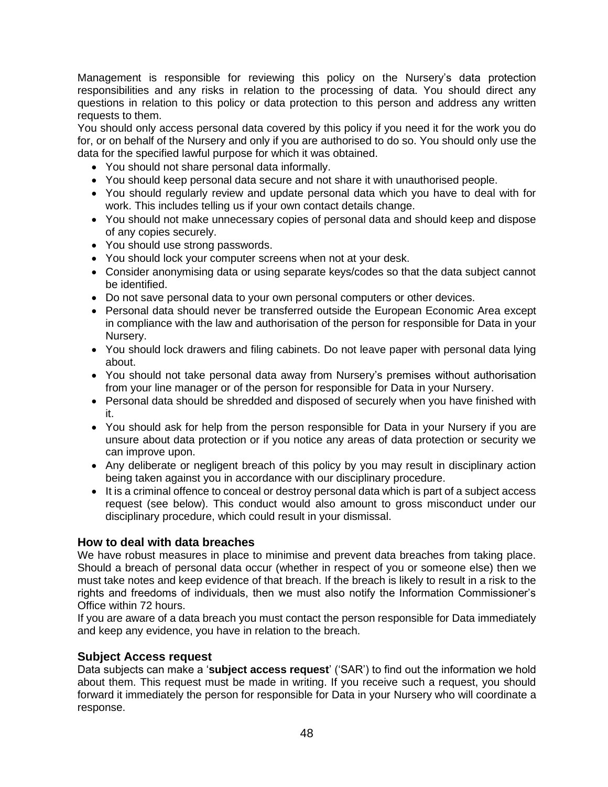Management is responsible for reviewing this policy on the Nursery's data protection responsibilities and any risks in relation to the processing of data. You should direct any questions in relation to this policy or data protection to this person and address any written requests to them.

You should only access personal data covered by this policy if you need it for the work you do for, or on behalf of the Nursery and only if you are authorised to do so. You should only use the data for the specified lawful purpose for which it was obtained.

- You should not share personal data informally.
- You should keep personal data secure and not share it with unauthorised people.
- You should regularly review and update personal data which you have to deal with for work. This includes telling us if your own contact details change.
- You should not make unnecessary copies of personal data and should keep and dispose of any copies securely.
- You should use strong passwords.
- You should lock your computer screens when not at your desk.
- Consider anonymising data or using separate keys/codes so that the data subject cannot be identified.
- Do not save personal data to your own personal computers or other devices.
- Personal data should never be transferred outside the European Economic Area except in compliance with the law and authorisation of the person for responsible for Data in your Nursery.
- You should lock drawers and filing cabinets. Do not leave paper with personal data lying about.
- You should not take personal data away from Nursery's premises without authorisation from your line manager or of the person for responsible for Data in your Nursery.
- Personal data should be shredded and disposed of securely when you have finished with it.
- You should ask for help from the person responsible for Data in your Nursery if you are unsure about data protection or if you notice any areas of data protection or security we can improve upon.
- Any deliberate or negligent breach of this policy by you may result in disciplinary action being taken against you in accordance with our disciplinary procedure.
- It is a criminal offence to conceal or destroy personal data which is part of a subject access request (see below). This conduct would also amount to gross misconduct under our disciplinary procedure, which could result in your dismissal.

### **How to deal with data breaches**

We have robust measures in place to minimise and prevent data breaches from taking place. Should a breach of personal data occur (whether in respect of you or someone else) then we must take notes and keep evidence of that breach. If the breach is likely to result in a risk to the rights and freedoms of individuals, then we must also notify the Information Commissioner's Office within 72 hours.

If you are aware of a data breach you must contact the person responsible for Data immediately and keep any evidence, you have in relation to the breach.

#### **Subject Access request**

Data subjects can make a '**subject access request**' ('SAR') to find out the information we hold about them. This request must be made in writing. If you receive such a request, you should forward it immediately the person for responsible for Data in your Nursery who will coordinate a response.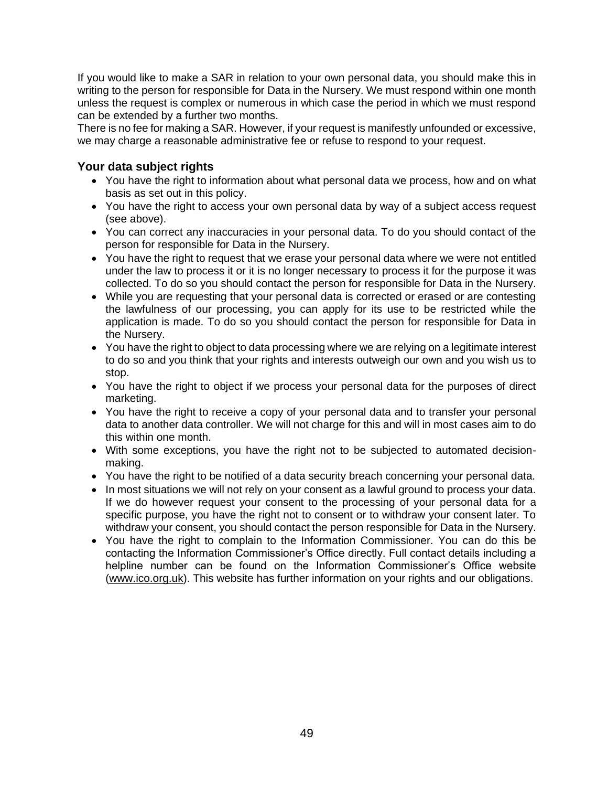If you would like to make a SAR in relation to your own personal data, you should make this in writing to the person for responsible for Data in the Nursery. We must respond within one month unless the request is complex or numerous in which case the period in which we must respond can be extended by a further two months.

There is no fee for making a SAR. However, if your request is manifestly unfounded or excessive, we may charge a reasonable administrative fee or refuse to respond to your request.

### **Your data subject rights**

- You have the right to information about what personal data we process, how and on what basis as set out in this policy.
- You have the right to access your own personal data by way of a subject access request (see above).
- You can correct any inaccuracies in your personal data. To do you should contact of the person for responsible for Data in the Nursery.
- You have the right to request that we erase your personal data where we were not entitled under the law to process it or it is no longer necessary to process it for the purpose it was collected. To do so you should contact the person for responsible for Data in the Nursery.
- While you are requesting that your personal data is corrected or erased or are contesting the lawfulness of our processing, you can apply for its use to be restricted while the application is made. To do so you should contact the person for responsible for Data in the Nursery.
- You have the right to object to data processing where we are relying on a legitimate interest to do so and you think that your rights and interests outweigh our own and you wish us to stop.
- You have the right to object if we process your personal data for the purposes of direct marketing.
- You have the right to receive a copy of your personal data and to transfer your personal data to another data controller. We will not charge for this and will in most cases aim to do this within one month.
- With some exceptions, you have the right not to be subjected to automated decisionmaking.
- You have the right to be notified of a data security breach concerning your personal data.
- In most situations we will not rely on your consent as a lawful ground to process your data. If we do however request your consent to the processing of your personal data for a specific purpose, you have the right not to consent or to withdraw your consent later. To withdraw your consent, you should contact the person responsible for Data in the Nursery.
- You have the right to complain to the Information Commissioner. You can do this be contacting the Information Commissioner's Office directly. Full contact details including a helpline number can be found on the Information Commissioner's Office website [\(www.ico.org.uk\)](http://www.ico.org.uk/). This website has further information on your rights and our obligations.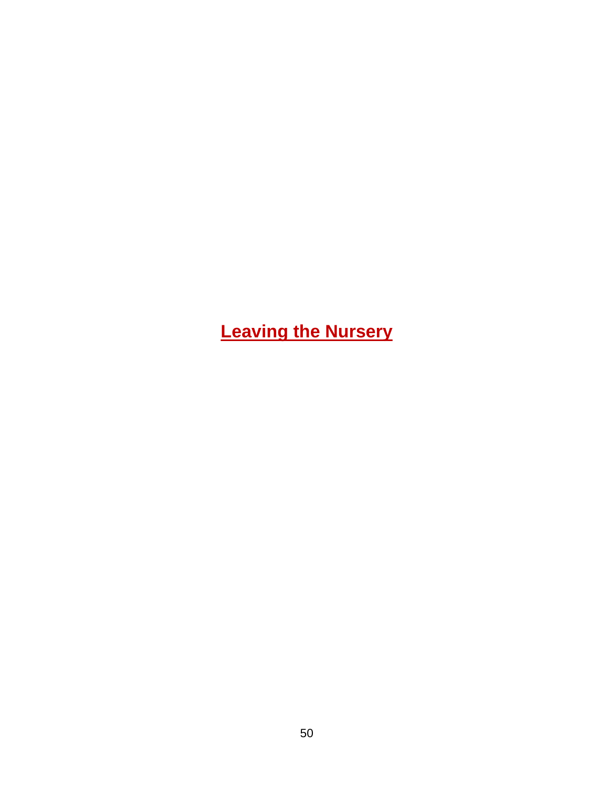<span id="page-49-0"></span>**Leaving the Nursery**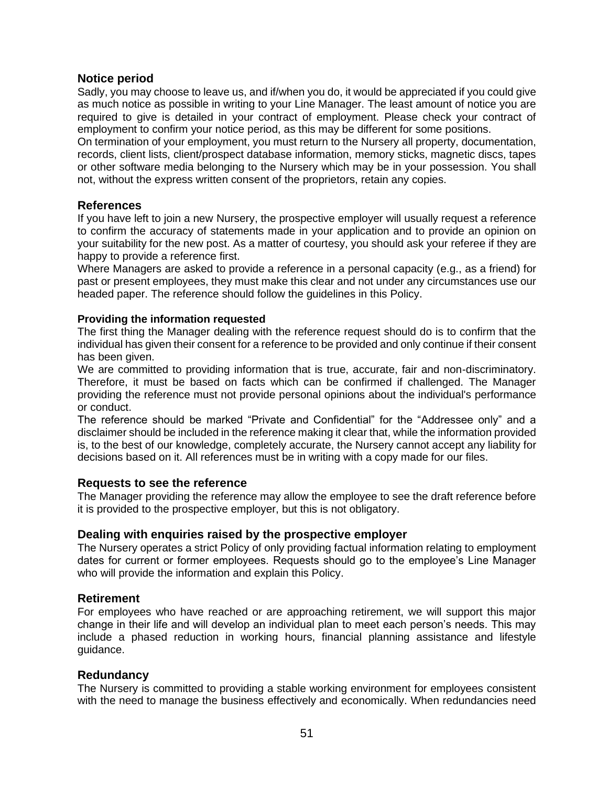### **Notice period**

Sadly, you may choose to leave us, and if/when you do, it would be appreciated if you could give as much notice as possible in writing to your Line Manager. The least amount of notice you are required to give is detailed in your contract of employment. Please check your contract of employment to confirm your notice period, as this may be different for some positions.

On termination of your employment, you must return to the Nursery all property, documentation, records, client lists, client/prospect database information, memory sticks, magnetic discs, tapes or other software media belonging to the Nursery which may be in your possession. You shall not, without the express written consent of the proprietors, retain any copies.

### **References**

If you have left to join a new Nursery, the prospective employer will usually request a reference to confirm the accuracy of statements made in your application and to provide an opinion on your suitability for the new post. As a matter of courtesy, you should ask your referee if they are happy to provide a reference first.

Where Managers are asked to provide a reference in a personal capacity (e.g., as a friend) for past or present employees, they must make this clear and not under any circumstances use our headed paper. The reference should follow the guidelines in this Policy.

### **Providing the information requested**

The first thing the Manager dealing with the reference request should do is to confirm that the individual has given their consent for a reference to be provided and only continue if their consent has been given.

We are committed to providing information that is true, accurate, fair and non-discriminatory. Therefore, it must be based on facts which can be confirmed if challenged. The Manager providing the reference must not provide personal opinions about the individual's performance or conduct.

The reference should be marked "Private and Confidential" for the "Addressee only" and a disclaimer should be included in the reference making it clear that, while the information provided is, to the best of our knowledge, completely accurate, the Nursery cannot accept any liability for decisions based on it. All references must be in writing with a copy made for our files.

### **Requests to see the reference**

The Manager providing the reference may allow the employee to see the draft reference before it is provided to the prospective employer, but this is not obligatory.

### **Dealing with enquiries raised by the prospective employer**

The Nursery operates a strict Policy of only providing factual information relating to employment dates for current or former employees. Requests should go to the employee's Line Manager who will provide the information and explain this Policy.

### **Retirement**

For employees who have reached or are approaching retirement, we will support this major change in their life and will develop an individual plan to meet each person's needs. This may include a phased reduction in working hours, financial planning assistance and lifestyle guidance.

### **Redundancy**

The Nursery is committed to providing a stable working environment for employees consistent with the need to manage the business effectively and economically. When redundancies need